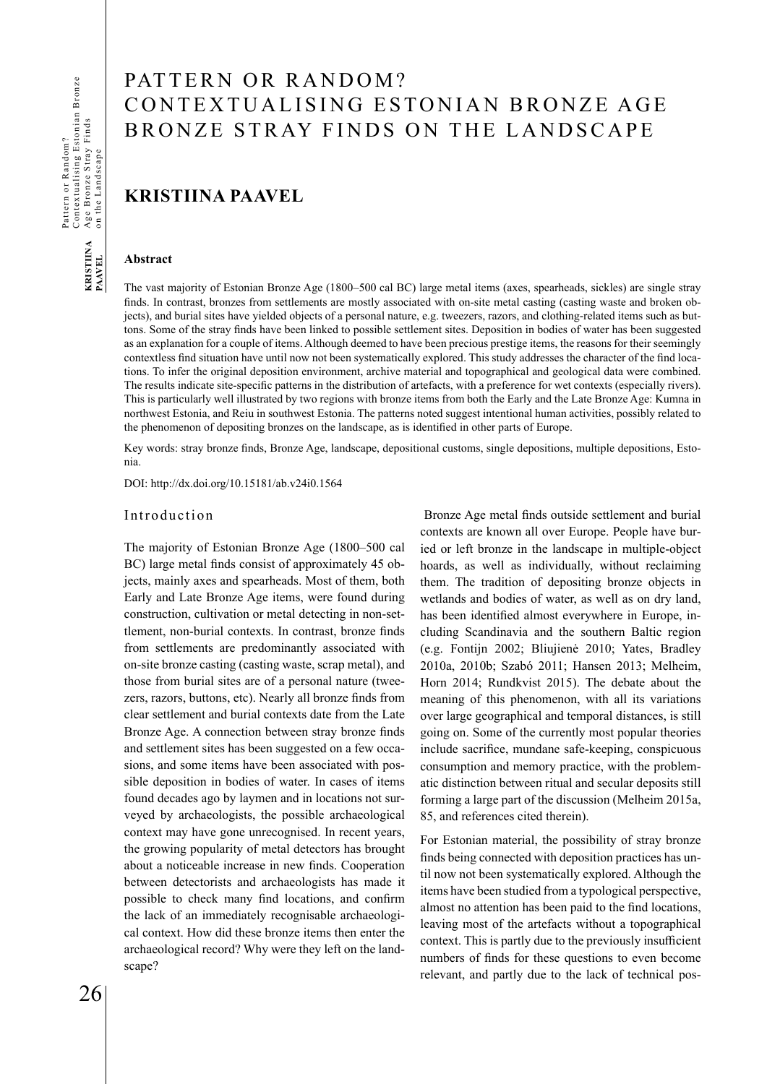# PATTERN OR RANDOM? CONTEXTUALISING ESTONIAN BRONZE AGE BRONZE STRAY FINDS ON THE LANDSCAPE

# **KRISTIINA PAAVEL**

### **Abstract**

The vast majority of Estonian Bronze Age (1800–500 cal BC) large metal items (axes, spearheads, sickles) are single stray finds. In contrast, bronzes from settlements are mostly associated with on-site metal casting (casting waste and broken objects), and burial sites have yielded objects of a personal nature, e.g. tweezers, razors, and clothing-related items such as buttons. Some of the stray finds have been linked to possible settlement sites. Deposition in bodies of water has been suggested as an explanation for a couple of items. Although deemed to have been precious prestige items, the reasons for their seemingly contextless find situation have until now not been systematically explored. This study addresses the character of the find locations. To infer the original deposition environment, archive material and topographical and geological data were combined. The results indicate site-specific patterns in the distribution of artefacts, with a preference for wet contexts (especially rivers). This is particularly well illustrated by two regions with bronze items from both the Early and the Late Bronze Age: Kumna in northwest Estonia, and Reiu in southwest Estonia. The patterns noted suggest intentional human activities, possibly related to the phenomenon of depositing bronzes on the landscape, as is identified in other parts of Europe.

Key words: stray bronze finds, Bronze Age, landscape, depositional customs, single depositions, multiple depositions, Estonia.

DOI: http://dx.doi.org/10.15181/ab.v24i0.1564

### Introduction

The majority of Estonian Bronze Age (1800–500 cal BC) large metal finds consist of approximately 45 objects, mainly axes and spearheads. Most of them, both Early and Late Bronze Age items, were found during construction, cultivation or metal detecting in non-settlement, non-burial contexts. In contrast, bronze finds from settlements are predominantly associated with on-site bronze casting (casting waste, scrap metal), and those from burial sites are of a personal nature (tweezers, razors, buttons, etc). Nearly all bronze finds from clear settlement and burial contexts date from the Late Bronze Age. A connection between stray bronze finds and settlement sites has been suggested on a few occasions, and some items have been associated with possible deposition in bodies of water. In cases of items found decades ago by laymen and in locations not surveyed by archaeologists, the possible archaeological context may have gone unrecognised. In recent years, the growing popularity of metal detectors has brought about a noticeable increase in new finds. Cooperation between detectorists and archaeologists has made it possible to check many find locations, and confirm the lack of an immediately recognisable archaeological context. How did these bronze items then enter the archaeological record? Why were they left on the landscape?

 Bronze Age metal finds outside settlement and burial contexts are known all over Europe. People have buried or left bronze in the landscape in multiple-object hoards, as well as individually, without reclaiming them. The tradition of depositing bronze objects in wetlands and bodies of water, as well as on dry land, has been identified almost everywhere in Europe, including Scandinavia and the southern Baltic region (e.g. Fontijn 2002; Bliujienė 2010; Yates, Bradley 2010a, 2010b; Szabó 2011; Hansen 2013; Melheim, Horn 2014; Rundkvist 2015). The debate about the meaning of this phenomenon, with all its variations over large geographical and temporal distances, is still going on. Some of the currently most popular theories include sacrifice, mundane safe-keeping, conspicuous consumption and memory practice, with the problematic distinction between ritual and secular deposits still forming a large part of the discussion (Melheim 2015a, 85, and references cited therein).

For Estonian material, the possibility of stray bronze finds being connected with deposition practices has until now not been systematically explored. Although the items have been studied from a typological perspective, almost no attention has been paid to the find locations, leaving most of the artefacts without a topographical context. This is partly due to the previously insufficient numbers of finds for these questions to even become relevant, and partly due to the lack of technical pos-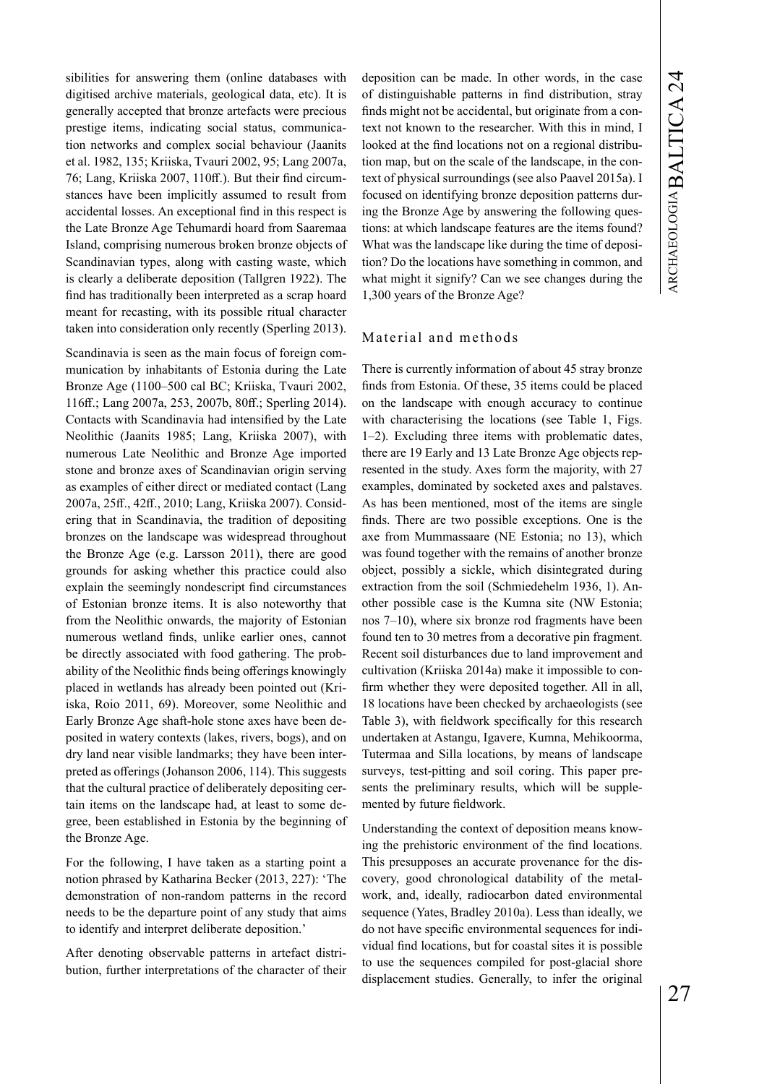sibilities for answering them (online databases with digitised archive materials, geological data, etc). It is generally accepted that bronze artefacts were precious prestige items, indicating social status, communication networks and complex social behaviour (Jaanits et al. 1982, 135; Kriiska, Tvauri 2002, 95; Lang 2007a, 76; Lang, Kriiska 2007, 110ff.). But their find circumstances have been implicitly assumed to result from accidental losses. An exceptional find in this respect is the Late Bronze Age Tehumardi hoard from Saaremaa Island, comprising numerous broken bronze objects of Scandinavian types, along with casting waste, which is clearly a deliberate deposition (Tallgren 1922). The find has traditionally been interpreted as a scrap hoard meant for recasting, with its possible ritual character taken into consideration only recently (Sperling 2013).

Scandinavia is seen as the main focus of foreign communication by inhabitants of Estonia during the Late Bronze Age (1100–500 cal BC; Kriiska, Tvauri 2002, 116ff.; Lang 2007a, 253, 2007b, 80ff.; Sperling 2014). Contacts with Scandinavia had intensified by the Late Neolithic (Jaanits 1985; Lang, Kriiska 2007), with numerous Late Neolithic and Bronze Age imported stone and bronze axes of Scandinavian origin serving as examples of either direct or mediated contact (Lang 2007a, 25ff., 42ff., 2010; Lang, Kriiska 2007). Considering that in Scandinavia, the tradition of depositing bronzes on the landscape was widespread throughout the Bronze Age (e.g. Larsson 2011), there are good grounds for asking whether this practice could also explain the seemingly nondescript find circumstances of Estonian bronze items. It is also noteworthy that from the Neolithic onwards, the majority of Estonian numerous wetland finds, unlike earlier ones, cannot be directly associated with food gathering. The probability of the Neolithic finds being offerings knowingly placed in wetlands has already been pointed out (Kriiska, Roio 2011, 69). Moreover, some Neolithic and Early Bronze Age shaft-hole stone axes have been deposited in watery contexts (lakes, rivers, bogs), and on dry land near visible landmarks; they have been interpreted as offerings (Johanson 2006, 114). This suggests that the cultural practice of deliberately depositing certain items on the landscape had, at least to some degree, been established in Estonia by the beginning of the Bronze Age.

For the following, I have taken as a starting point a notion phrased by Katharina Becker (2013, 227): 'The demonstration of non-random patterns in the record needs to be the departure point of any study that aims to identify and interpret deliberate deposition.'

After denoting observable patterns in artefact distribution, further interpretations of the character of their deposition can be made. In other words, in the case of distinguishable patterns in find distribution, stray finds might not be accidental, but originate from a context not known to the researcher. With this in mind, I looked at the find locations not on a regional distribution map, but on the scale of the landscape, in the context of physical surroundings (see also Paavel 2015a). I focused on identifying bronze deposition patterns during the Bronze Age by answering the following questions: at which landscape features are the items found? What was the landscape like during the time of deposition? Do the locations have something in common, and what might it signify? Can we see changes during the 1,300 years of the Bronze Age?

## Material and methods

There is currently information of about 45 stray bronze finds from Estonia. Of these, 35 items could be placed on the landscape with enough accuracy to continue with characterising the locations (see Table 1, Figs. 1–2). Excluding three items with problematic dates, there are 19 Early and 13 Late Bronze Age objects represented in the study. Axes form the majority, with 27 examples, dominated by socketed axes and palstaves. As has been mentioned, most of the items are single finds. There are two possible exceptions. One is the axe from Mummassaare (NE Estonia; no 13), which was found together with the remains of another bronze object, possibly a sickle, which disintegrated during extraction from the soil (Schmiedehelm 1936, 1). Another possible case is the Kumna site (NW Estonia; nos 7–10), where six bronze rod fragments have been found ten to 30 metres from a decorative pin fragment. Recent soil disturbances due to land improvement and cultivation (Kriiska 2014a) make it impossible to confirm whether they were deposited together. All in all, 18 locations have been checked by archaeologists (see Table 3), with fieldwork specifically for this research undertaken at Astangu, Igavere, Kumna, Mehikoorma, Tutermaa and Silla locations, by means of landscape surveys, test-pitting and soil coring. This paper presents the preliminary results, which will be supplemented by future fieldwork.

Understanding the context of deposition means knowing the prehistoric environment of the find locations. This presupposes an accurate provenance for the discovery, good chronological datability of the metalwork, and, ideally, radiocarbon dated environmental sequence (Yates, Bradley 2010a). Less than ideally, we do not have specific environmental sequences for individual find locations, but for coastal sites it is possible to use the sequences compiled for post-glacial shore displacement studies. Generally, to infer the original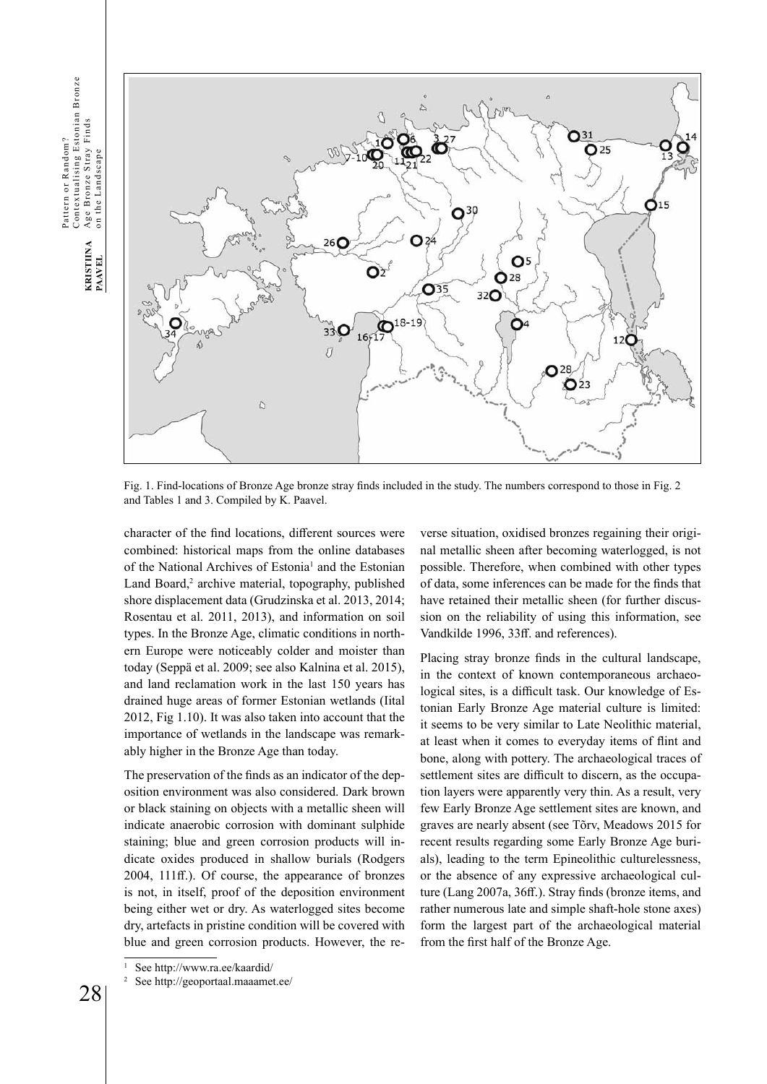Contextualising Estonian Bronze<br>Age Bronze Stray Finds<br>on the Landscape Contextualising Estonian Bronze Age Bronze Stray Finds Pattern or Random? Pattern or Random? on the Landscape KRISTIINA<br>PAAVEL 28**KRISTIINA PAAVEL**



Fig. 1. Find-locations of Bronze Age bronze stray finds included in the study. The numbers correspond to those in Fig. 2 and Tables 1 and 3. Compiled by K. Paavel.

character of the find locations, different sources were combined: historical maps from the online databases of the National Archives of Estonia<sup>1</sup> and the Estonian Land Board,<sup>2</sup> archive material, topography, published shore displacement data (Grudzinska et al. 2013, 2014; Rosentau et al. 2011, 2013), and information on soil types. In the Bronze Age, climatic conditions in northern Europe were noticeably colder and moister than today (Seppä et al. 2009; see also Kalnina et al. 2015), and land reclamation work in the last 150 years has drained huge areas of former Estonian wetlands (Iital 2012, Fig 1.10). It was also taken into account that the importance of wetlands in the landscape was remarkably higher in the Bronze Age than today.

The preservation of the finds as an indicator of the deposition environment was also considered. Dark brown or black staining on objects with a metallic sheen will indicate anaerobic corrosion with dominant sulphide staining; blue and green corrosion products will indicate oxides produced in shallow burials (Rodgers 2004, 111ff.). Of course, the appearance of bronzes is not, in itself, proof of the deposition environment being either wet or dry. As waterlogged sites become dry, artefacts in pristine condition will be covered with blue and green corrosion products. However, the re-

See http://www.ra.ee/kaardid/

verse situation, oxidised bronzes regaining their original metallic sheen after becoming waterlogged, is not possible. Therefore, when combined with other types of data, some inferences can be made for the finds that have retained their metallic sheen (for further discussion on the reliability of using this information, see Vandkilde 1996, 33ff. and references).

Placing stray bronze finds in the cultural landscape, in the context of known contemporaneous archaeological sites, is a difficult task. Our knowledge of Estonian Early Bronze Age material culture is limited: it seems to be very similar to Late Neolithic material, at least when it comes to everyday items of flint and bone, along with pottery. The archaeological traces of settlement sites are difficult to discern, as the occupation layers were apparently very thin. As a result, very few Early Bronze Age settlement sites are known, and graves are nearly absent (see Tõrv, Meadows 2015 for recent results regarding some Early Bronze Age burials), leading to the term Epineolithic culturelessness, or the absence of any expressive archaeological culture (Lang 2007a, 36ff.). Stray finds (bronze items, and rather numerous late and simple shaft-hole stone axes) form the largest part of the archaeological material from the first half of the Bronze Age.

See http://geoportaal.maaamet.ee/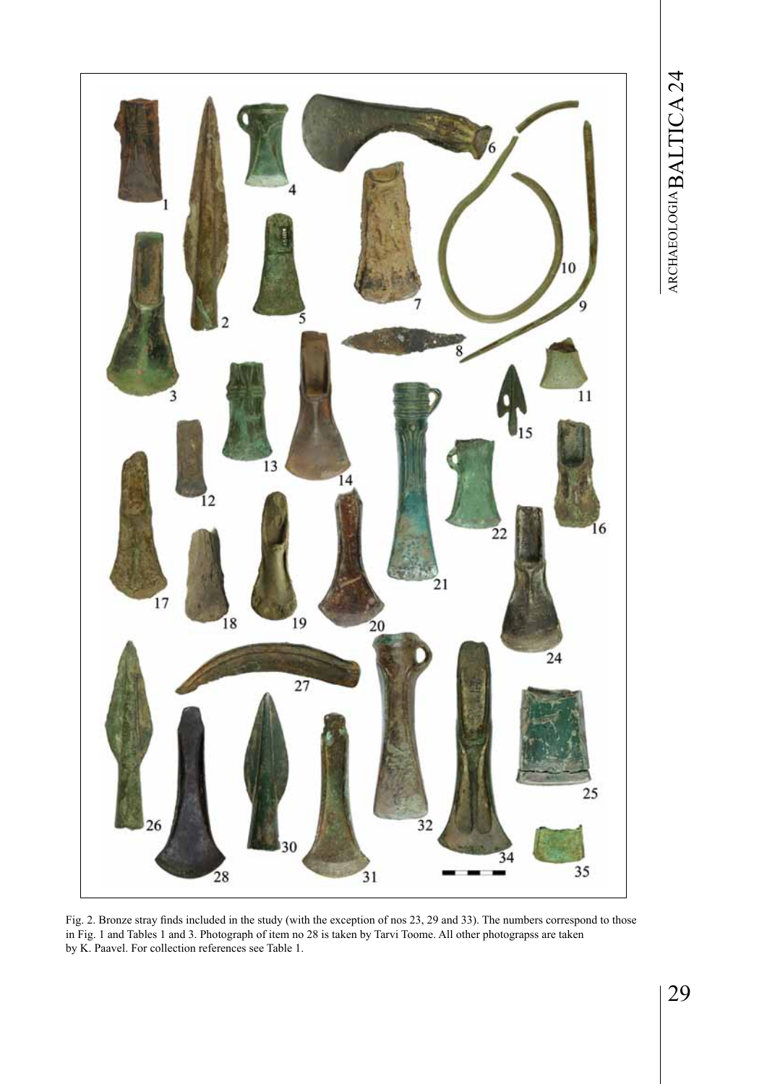

Fig. 2. Bronze stray finds included in the study (with the exception of nos 23, 29 and 33). The numbers correspond to those in Fig. 1 and Tables 1 and 3. Photograph of item no 28 is taken by Tarvi Toome. All other photograpss are taken by K. Paavel. For collection references see Table 1.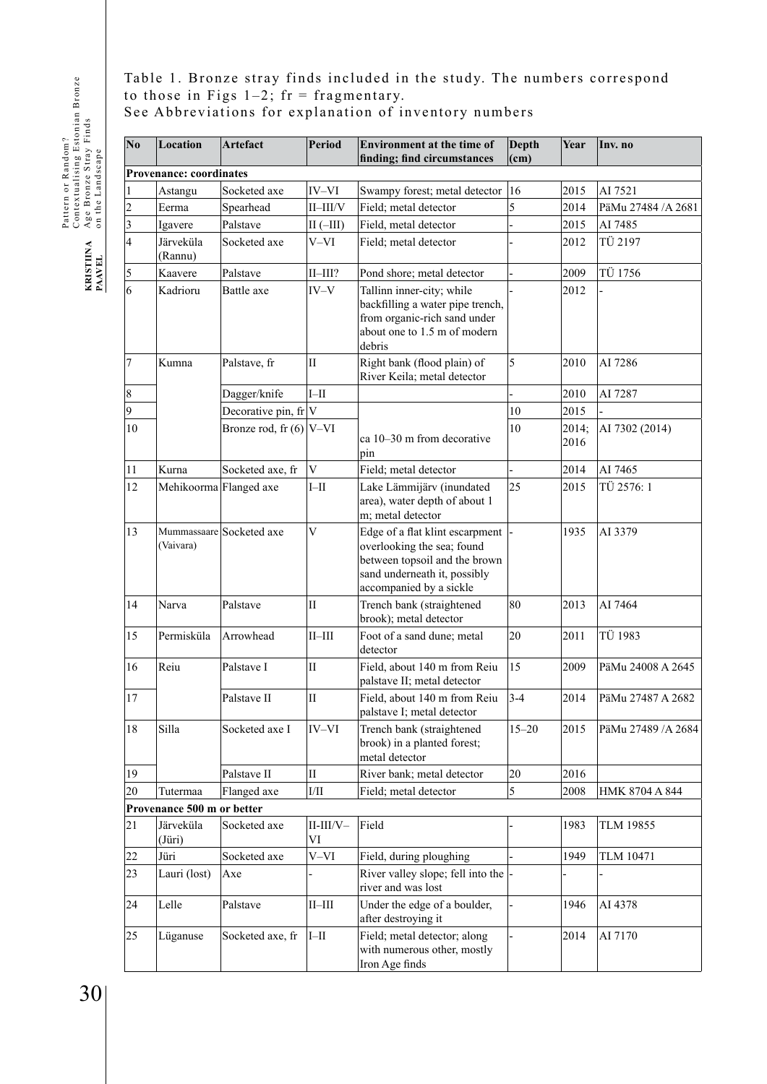Pattern or Random?<br>Contextualising Estonian Bronze<br>Age Bronze Stray Finds<br>on the Landscape Contextualising Estonian Bronze Age Bronze Stray Finds Pattern or Random? on the Landscape KRISTIINA<br>PAAVEL

Table 1. Bronze stray finds included in the study. The numbers correspond to those in Figs  $1-2$ ; fr = fragmentary. See Abbreviations for explanation of inventory numbers

| N <sub>0</sub> | Location                       | Artefact                                               | <b>Period</b>         | <b>Environment at the time of</b><br>finding; find circumstances                                                                                          | Depth<br>(cm) | Year          | Inv. no             |  |
|----------------|--------------------------------|--------------------------------------------------------|-----------------------|-----------------------------------------------------------------------------------------------------------------------------------------------------------|---------------|---------------|---------------------|--|
|                | <b>Provenance: coordinates</b> |                                                        |                       |                                                                                                                                                           |               |               |                     |  |
| $\mathbf{1}$   | Astangu                        | Socketed axe<br>IV-VI<br>Swampy forest; metal detector |                       | 16                                                                                                                                                        | 2015          | AI 7521       |                     |  |
| 2              | Eerma                          | Spearhead                                              | $II$ - $III/V$        | Field; metal detector                                                                                                                                     | 5             | 2014          | PäMu 27484 / A 2681 |  |
| 3              | Igavere                        | Palstave                                               | $II(-III)$            | Field, metal detector                                                                                                                                     |               | 2015          | AI 7485             |  |
| 4              | Järveküla<br>(Rannu)           | Socketed axe                                           | $V-VI$                | Field; metal detector                                                                                                                                     |               | 2012          | TÜ 2197             |  |
| 5              | Kaavere                        | Palstave                                               | $II$ - $III$ ?        | Pond shore; metal detector                                                                                                                                |               | 2009          | TÜ 1756             |  |
| 6              | Kadrioru                       | Battle axe                                             | $IV-V$                | Tallinn inner-city; while<br>backfilling a water pipe trench,<br>from organic-rich sand under<br>about one to 1.5 m of modern<br>debris                   |               | 2012          |                     |  |
| 7              | Kumna                          | Palstave, fr                                           | $\mathbf{I}$          | Right bank (flood plain) of<br>River Keila; metal detector                                                                                                | 5             | 2010          | AI 7286             |  |
| 8              |                                | Dagger/knife                                           | $I-II$                |                                                                                                                                                           |               | 2010          | AI 7287             |  |
| 9              |                                | Decorative pin, fr                                     | V                     |                                                                                                                                                           | 10            | 2015          |                     |  |
| 10             |                                | Bronze rod, fr $(6)$ V-VI                              |                       | ca 10–30 m from decorative<br>pin                                                                                                                         | 10            | 2014;<br>2016 | AI 7302 (2014)      |  |
| 11             | Kurna                          | Socketed axe, fr                                       | $\overline{V}$        | Field; metal detector                                                                                                                                     |               | 2014          | AI 7465             |  |
| 12             |                                | Mehikoorma Flanged axe                                 | $I-II$                | Lake Lämmijärv (inundated<br>area), water depth of about 1<br>m; metal detector                                                                           | 25            | 2015          | TÜ 2576: 1          |  |
| 13             | (Vaivara)                      | Mummassaare Socketed axe                               | V                     | Edge of a flat klint escarpment<br>overlooking the sea; found<br>between topsoil and the brown<br>sand underneath it, possibly<br>accompanied by a sickle |               | 1935          | AI 3379             |  |
| 14             | Narva                          | Palstave                                               | $\mathbf{I}$          | Trench bank (straightened<br>brook); metal detector                                                                                                       | 80            | 2013          | AI 7464             |  |
| 15             | Permisküla                     | Arrowhead                                              | $II$ -III             | Foot of a sand dune; metal<br>detector                                                                                                                    | 20            | 2011          | TÜ 1983             |  |
| 16             | Reiu                           | Palstave I                                             | $\rm II$              | Field, about 140 m from Reiu<br>palstave II; metal detector                                                                                               | 15            | 2009          | PäMu 24008 A 2645   |  |
| 17             |                                | Palstave II                                            | П                     | Field, about 140 m from Reiu<br>palstave I; metal detector                                                                                                | $3 - 4$       | 2014          | PäMu 27487 A 2682   |  |
| 18             | Silla                          | Socketed axe I                                         | IV-VI                 | Trench bank (straightened<br>brook) in a planted forest;<br>metal detector                                                                                | $15 - 20$     | 2015          | PäMu 27489 / A 2684 |  |
| 19             |                                | Palstave II                                            | $\overline{\rm II}$   | River bank; metal detector                                                                                                                                | 20            | 2016          |                     |  |
| 20             | Tutermaa                       | Flanged axe                                            | $\rm{I/II}$           | Field; metal detector                                                                                                                                     | 5             | 2008          | HMK 8704 A 844      |  |
|                | Provenance 500 m or better     |                                                        |                       |                                                                                                                                                           |               |               |                     |  |
| 21             | Järveküla<br>(Jüri)            | Socketed axe                                           | $II$ - $III/V-$<br>VI | Field                                                                                                                                                     |               | 1983          | TLM 19855           |  |
| 22             | Jüri                           | Socketed axe                                           | $V-VI$                | Field, during ploughing                                                                                                                                   |               | 1949          | TLM 10471           |  |
| 23             | Lauri (lost)                   | Axe                                                    |                       | River valley slope; fell into the<br>river and was lost                                                                                                   |               |               |                     |  |
| 24             | Lelle                          | Palstave                                               | $_{\rm II-III}$       | Under the edge of a boulder,<br>1946<br>after destroying it                                                                                               |               | AI 4378       |                     |  |
| 25             | Lüganuse                       | Socketed axe, fr                                       | $I-II$                | Field; metal detector; along<br>with numerous other, mostly<br>Iron Age finds                                                                             |               | 2014          | AI 7170             |  |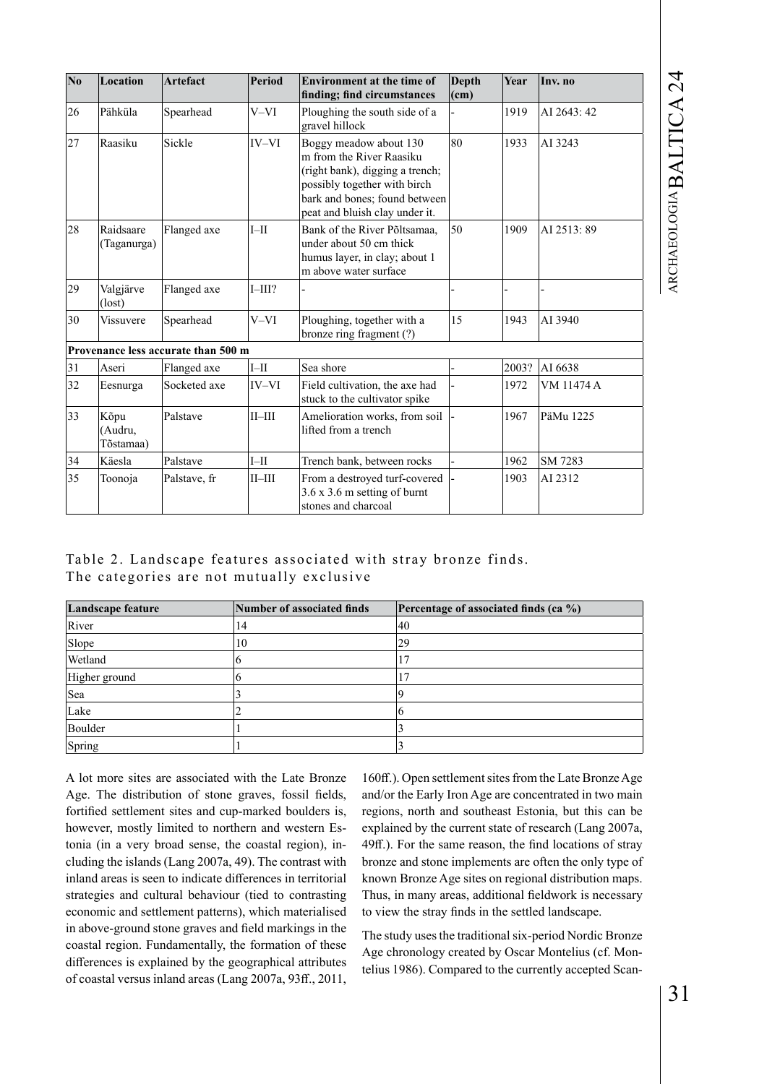| N <sub>0</sub> | Location                     | <b>Artefact</b>                     | Period       | <b>Environment at the time of</b><br>finding; find circumstances                                                                                                                         | Depth<br>$ $ (cm) | Year  | Inv. no     |
|----------------|------------------------------|-------------------------------------|--------------|------------------------------------------------------------------------------------------------------------------------------------------------------------------------------------------|-------------------|-------|-------------|
| 26             | Pähküla                      | Spearhead                           | V-VI         | Ploughing the south side of a<br>gravel hillock                                                                                                                                          |                   | 1919  | AI 2643: 42 |
| 27             | Raasiku                      | Sickle                              | IV-VI        | Boggy meadow about 130<br>m from the River Raasiku<br>(right bank), digging a trench;<br>possibly together with birch<br>bark and bones; found between<br>peat and bluish clay under it. | 80                | 1933  | AI 3243     |
| 28             | Raidsaare<br>(Taganurga)     | Flanged axe                         | $I-II$       | Bank of the River Põltsamaa.<br>under about 50 cm thick<br>humus layer, in clay; about 1<br>m above water surface                                                                        | 50                | 1909  | AI 2513:89  |
| 29             | Valgjärve<br>(lost)          | Flanged axe                         | $I$ -III?    |                                                                                                                                                                                          |                   |       |             |
| 30             | <b>Vissuvere</b>             | Spearhead                           | V-VI         | Ploughing, together with a<br>bronze ring fragment (?)                                                                                                                                   | 15                | 1943  | AI 3940     |
|                |                              | Provenance less accurate than 500 m |              |                                                                                                                                                                                          |                   |       |             |
| 31             | Aseri                        | Flanged axe                         | $I-H$        | Sea shore                                                                                                                                                                                |                   | 2003? | AI 6638     |
| 32             | Eesnurga                     | Socketed axe                        | IV-VI        | Field cultivation, the axe had<br>stuck to the cultivator spike                                                                                                                          |                   | 1972  | VM 11474 A  |
| 33             | Kõpu<br>(Audru,<br>Tõstamaa) | Palstave                            | $II$ - $III$ | Amelioration works, from soil<br>lifted from a trench                                                                                                                                    |                   | 1967  | PäMu 1225   |
| 34             | Käesla                       | Palstave                            | $I-II$       | Trench bank, between rocks                                                                                                                                                               |                   | 1962  | SM 7283     |
| 35             | Toonoja                      | Palstave, fr                        | $II$ -III    | From a destroyed turf-covered<br>$3.6 \times 3.6$ m setting of burnt<br>stones and charcoal                                                                                              |                   | 1903  | AI 2312     |

| Table 2. Landscape features associated with stray bronze finds. |  |  |  |
|-----------------------------------------------------------------|--|--|--|
| The categories are not mutually exclusive                       |  |  |  |

| Landscape feature | Number of associated finds | <b>Percentage of associated finds (ca <math>\%</math>)</b> |
|-------------------|----------------------------|------------------------------------------------------------|
| River             | 14                         | 40                                                         |
| Slope             | 10                         | 29                                                         |
| Wetland           |                            | 17                                                         |
| Higher ground     |                            | 7                                                          |
| Sea               |                            |                                                            |
| Lake              |                            |                                                            |
| Boulder           |                            |                                                            |
| Spring            |                            |                                                            |

A lot more sites are associated with the Late Bronze Age. The distribution of stone graves, fossil fields, fortified settlement sites and cup-marked boulders is, however, mostly limited to northern and western Estonia (in a very broad sense, the coastal region), including the islands (Lang 2007a, 49). The contrast with inland areas is seen to indicate differences in territorial strategies and cultural behaviour (tied to contrasting economic and settlement patterns), which materialised in above-ground stone graves and field markings in the coastal region. Fundamentally, the formation of these differences is explained by the geographical attributes of coastal versus inland areas (Lang 2007a, 93ff., 2011,

160ff.). Open settlement sites from the Late Bronze Age and/or the Early Iron Age are concentrated in two main regions, north and southeast Estonia, but this can be explained by the current state of research (Lang 2007a, 49ff.). For the same reason, the find locations of stray bronze and stone implements are often the only type of known Bronze Age sites on regional distribution maps. Thus, in many areas, additional fieldwork is necessary to view the stray finds in the settled landscape.

The study uses the traditional six-period Nordic Bronze Age chronology created by Oscar Montelius (cf. Montelius 1986). Compared to the currently accepted Scan-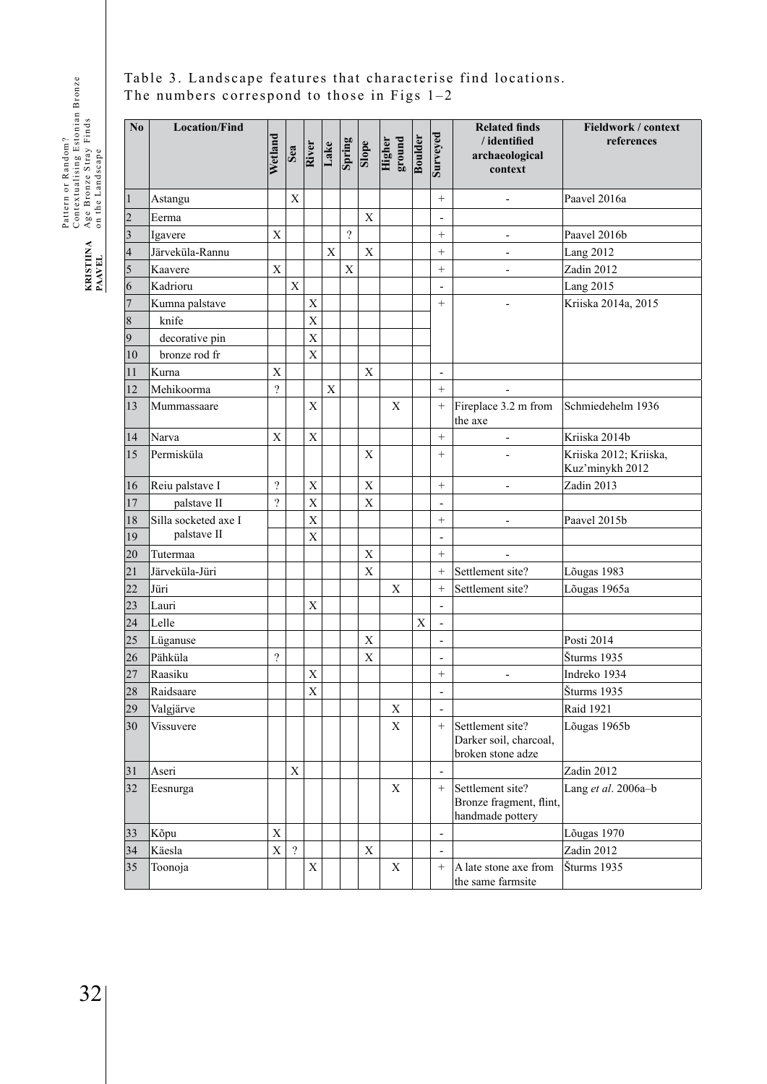# Table 3. Landscape features that characterise find locations. The numbers correspond to those in Figs 1–2

| No             | <b>Location/Find</b> | Wetland                   | Sea            | River          | Lake        | Spring             | $\frac{1}{\sqrt{2}}$ | ground<br>Higher | <b>Boulder</b> | Surveyed                     | <b>Related finds</b><br>/identified<br>archaeological<br>context | Fieldwork / context<br>references         |
|----------------|----------------------|---------------------------|----------------|----------------|-------------|--------------------|----------------------|------------------|----------------|------------------------------|------------------------------------------------------------------|-------------------------------------------|
| 1              | Astangu              |                           | X              |                |             |                    |                      |                  |                | $^{+}$                       | $\overline{\phantom{0}}$                                         | Paavel 2016a                              |
| $\overline{c}$ | Eerma                |                           |                |                |             |                    | $\mathbf X$          |                  |                | $\overline{a}$               |                                                                  |                                           |
| 3              | Igavere              | X                         |                |                |             | $\overline{\cdot}$ |                      |                  |                | $^{+}$                       | $\overline{\phantom{0}}$                                         | Paavel 2016b                              |
| 4              | Järveküla-Rannu      |                           |                |                | $\mathbf X$ |                    | $\mathbf X$          |                  |                | $^{+}$                       | $\overline{\phantom{a}}$                                         | <b>Lang 2012</b>                          |
| 5              | Kaavere              | $\mathbf X$               |                |                |             | $\mathbf X$        |                      |                  |                | $+$                          |                                                                  | Zadin 2012                                |
| 6              | Kadrioru             |                           | $\mathbf X$    |                |             |                    |                      |                  |                | $\overline{a}$               |                                                                  | Lang 2015                                 |
| 7              | Kumna palstave       |                           |                | X              |             |                    |                      |                  |                | $^{+}$                       |                                                                  | Kriiska 2014a, 2015                       |
| 8              | knife                |                           |                | $\overline{X}$ |             |                    |                      |                  |                |                              |                                                                  |                                           |
| 9              | decorative pin       |                           |                | $\overline{X}$ |             |                    |                      |                  |                |                              |                                                                  |                                           |
| 10             | bronze rod fr        |                           |                | $\mathbf X$    |             |                    |                      |                  |                |                              |                                                                  |                                           |
| 11             | Kurna                | $\boldsymbol{\mathrm{X}}$ |                |                |             |                    | $\mathbf X$          |                  |                | $\qquad \qquad \blacksquare$ |                                                                  |                                           |
| 12             | Mehikoorma           | $\overline{\mathcal{L}}$  |                |                | $\mathbf X$ |                    |                      |                  |                | $+$                          |                                                                  |                                           |
| 13             | Mummassaare          |                           |                | X              |             |                    |                      | $\mathbf X$      |                | $^{+}$                       | Fireplace 3.2 m from<br>the axe                                  | Schmiedehelm 1936                         |
| 14             | Narva                | $\overline{X}$            |                | X              |             |                    |                      |                  |                | $^{+}$                       | $\overline{\phantom{a}}$                                         | Kriiska 2014b                             |
| 15             | Permisküla           |                           |                |                |             |                    | X                    |                  |                | $+$                          |                                                                  | Kriiska 2012; Kriiska,<br>Kuz'minykh 2012 |
| 16             | Reiu palstave I      | $\ddot{?}$                |                | X              |             |                    | X                    |                  |                | $^{+}$                       |                                                                  | Zadin 2013                                |
| 17             | palstave II          | $\overline{\cdot}$        |                | X              |             |                    | $\mathbf X$          |                  |                | $\overline{a}$               |                                                                  |                                           |
| 18             | Silla socketed axe I |                           |                | X              |             |                    |                      |                  |                | $+$                          | $\overline{a}$                                                   | Paavel 2015b                              |
| 19             | palstave II          |                           |                | $\mathbf X$    |             |                    |                      |                  |                | $\overline{a}$               |                                                                  |                                           |
| 20             | Tutermaa             |                           |                |                |             |                    | $\mathbf X$          |                  |                | $+$                          | $\overline{a}$                                                   |                                           |
| 21             | Järveküla-Jüri       |                           |                |                |             |                    | $\mathbf X$          |                  |                | $^{+}$                       | Settlement site?                                                 | Lõugas 1983                               |
| 22             | Jüri                 |                           |                |                |             |                    |                      | X                |                | $^{+}$                       | Settlement site?                                                 | Lõugas 1965a                              |
| 23             | Lauri                |                           |                | X              |             |                    |                      |                  |                | $\overline{a}$               |                                                                  |                                           |
| 24             | Lelle                |                           |                |                |             |                    |                      |                  | X              | $\overline{a}$               |                                                                  |                                           |
| 25             | Lüganuse             |                           |                |                |             |                    | X                    |                  |                | $\overline{a}$               |                                                                  | Posti 2014                                |
| 26             | Pähküla              | $\overline{\cdot}$        |                |                |             |                    | $\mathbf X$          |                  |                | $\overline{\phantom{a}}$     |                                                                  | Šturms 1935                               |
| 27             | Raasiku              |                           |                | X              |             |                    |                      |                  |                | $^{+}$                       |                                                                  | Indreko 1934                              |
| 28             | Raidsaare            |                           |                | X              |             |                    |                      |                  |                |                              |                                                                  | Šturms 1935                               |
| 29             | Valgjärve            |                           |                |                |             |                    |                      | $\mathbf X$      |                |                              |                                                                  | <b>Raid 1921</b>                          |
| 30             | Vissuvere            |                           |                |                |             |                    |                      | $\mathbf X$      |                | $+$                          | Settlement site?<br>Darker soil, charcoal,<br>broken stone adze  | Lõugas 1965b                              |
| 31             | Aseri                |                           | $\overline{X}$ |                |             |                    |                      |                  |                | Ĭ.                           |                                                                  | Zadin 2012                                |
| 32             | Eesnurga             |                           |                |                |             |                    |                      | X                |                | $\! + \!\!\!\!$              | Settlement site?<br>Bronze fragment, flint,<br>handmade pottery  | Lang et al. 2006a-b                       |
| 33             | Kõpu                 | $\mathbf X$               |                |                |             |                    |                      |                  |                | Ĭ.                           |                                                                  | Lõugas 1970                               |
| 34             | Käesla               | $\overline{X}$            | $\overline{?}$ |                |             |                    | $\mathbf X$          |                  |                | ÷,                           |                                                                  | Zadin 2012                                |
| 35             | Toonoja              |                           |                | $\mathbf X$    |             |                    |                      | X                |                | $\! + \!\!\!\!$              | A late stone axe from<br>the same farmsite                       | Šturms 1935                               |

Pattern or Random?<br>Contextualising Estonian Bronze<br>Age Bronze Stray Finds<br>on the Landscape Contextualising Estonian Bronze Age Bronze Stray Finds Pattern or Random? on the Landscape KRISTIINA<br>PAAVEL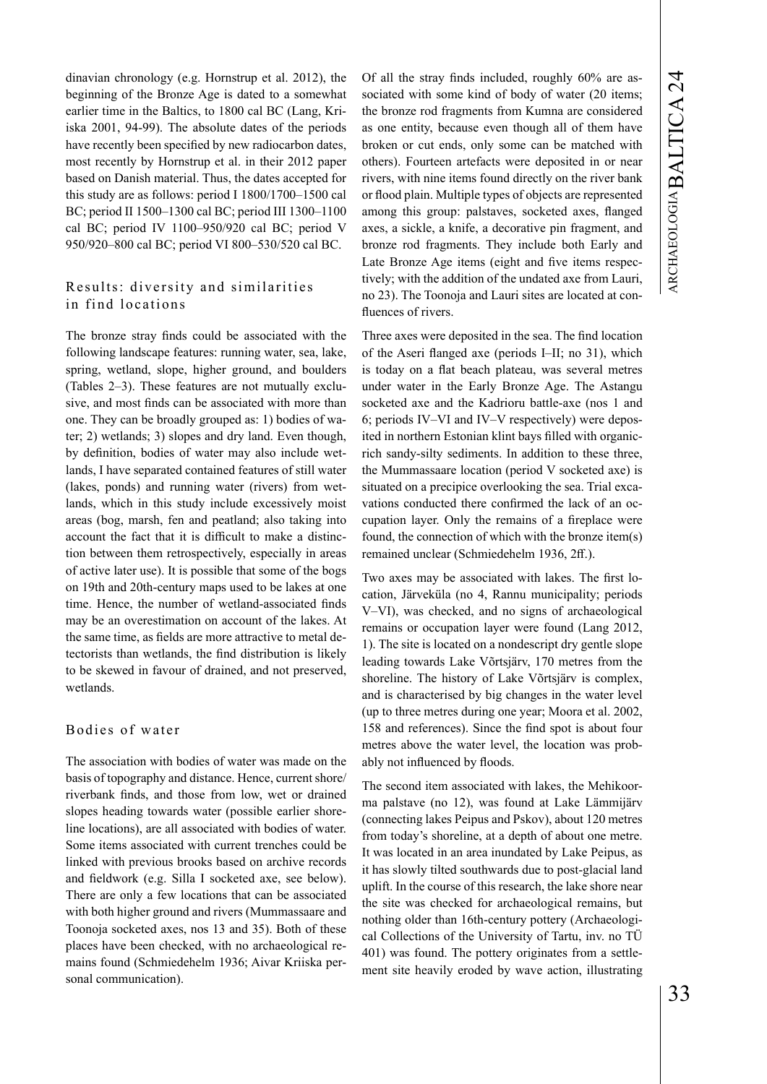dinavian chronology (e.g. Hornstrup et al. 2012), the beginning of the Bronze Age is dated to a somewhat earlier time in the Baltics, to 1800 cal BC (Lang, Kriiska 2001, 94-99). The absolute dates of the periods have recently been specified by new radiocarbon dates, most recently by Hornstrup et al. in their 2012 paper based on Danish material. Thus, the dates accepted for this study are as follows: period I 1800/1700–1500 cal BC; period II 1500–1300 cal BC; period III 1300–1100 cal BC; period IV 1100–950/920 cal BC; period V 950/920–800 cal BC; period VI 800–530/520 cal BC.

# Results: diversity and similarities in find locations

The bronze stray finds could be associated with the following landscape features: running water, sea, lake, spring, wetland, slope, higher ground, and boulders (Tables 2–3). These features are not mutually exclusive, and most finds can be associated with more than one. They can be broadly grouped as: 1) bodies of water; 2) wetlands; 3) slopes and dry land. Even though, by definition, bodies of water may also include wetlands, I have separated contained features of still water (lakes, ponds) and running water (rivers) from wetlands, which in this study include excessively moist areas (bog, marsh, fen and peatland; also taking into account the fact that it is difficult to make a distinction between them retrospectively, especially in areas of active later use). It is possible that some of the bogs on 19th and 20th-century maps used to be lakes at one time. Hence, the number of wetland-associated finds may be an overestimation on account of the lakes. At the same time, as fields are more attractive to metal detectorists than wetlands, the find distribution is likely to be skewed in favour of drained, and not preserved, wetlands.

## Bodies of water

The association with bodies of water was made on the basis of topography and distance. Hence, current shore/ riverbank finds, and those from low, wet or drained slopes heading towards water (possible earlier shoreline locations), are all associated with bodies of water. Some items associated with current trenches could be linked with previous brooks based on archive records and fieldwork (e.g. Silla I socketed axe, see below). There are only a few locations that can be associated with both higher ground and rivers (Mummassaare and Toonoja socketed axes, nos 13 and 35). Both of these places have been checked, with no archaeological remains found (Schmiedehelm 1936; Aivar Kriiska personal communication).

Of all the stray finds included, roughly 60% are associated with some kind of body of water (20 items; the bronze rod fragments from Kumna are considered as one entity, because even though all of them have broken or cut ends, only some can be matched with others). Fourteen artefacts were deposited in or near rivers, with nine items found directly on the river bank or flood plain. Multiple types of objects are represented among this group: palstaves, socketed axes, flanged axes, a sickle, a knife, a decorative pin fragment, and bronze rod fragments. They include both Early and Late Bronze Age items (eight and five items respectively; with the addition of the undated axe from Lauri, no 23). The Toonoja and Lauri sites are located at confluences of rivers.

Three axes were deposited in the sea. The find location of the Aseri flanged axe (periods I–II; no 31), which is today on a flat beach plateau, was several metres under water in the Early Bronze Age. The Astangu socketed axe and the Kadrioru battle-axe (nos 1 and 6; periods IV–VI and IV–V respectively) were deposited in northern Estonian klint bays filled with organicrich sandy-silty sediments. In addition to these three, the Mummassaare location (period V socketed axe) is situated on a precipice overlooking the sea. Trial excavations conducted there confirmed the lack of an occupation layer. Only the remains of a fireplace were found, the connection of which with the bronze item(s) remained unclear (Schmiedehelm 1936, 2ff.).

Two axes may be associated with lakes. The first location, Järveküla (no 4, Rannu municipality; periods V–VI), was checked, and no signs of archaeological remains or occupation layer were found (Lang 2012, 1). The site is located on a nondescript dry gentle slope leading towards Lake Võrtsjärv, 170 metres from the shoreline. The history of Lake Võrtsjärv is complex, and is characterised by big changes in the water level (up to three metres during one year; Moora et al. 2002, 158 and references). Since the find spot is about four metres above the water level, the location was probably not influenced by floods.

The second item associated with lakes, the Mehikoorma palstave (no 12), was found at Lake Lämmijärv (connecting lakes Peipus and Pskov), about 120 metres from today's shoreline, at a depth of about one metre. It was located in an area inundated by Lake Peipus, as it has slowly tilted southwards due to post-glacial land uplift. In the course of this research, the lake shore near the site was checked for archaeological remains, but nothing older than 16th-century pottery (Archaeological Collections of the University of Tartu, inv. no TÜ 401) was found. The pottery originates from a settlement site heavily eroded by wave action, illustrating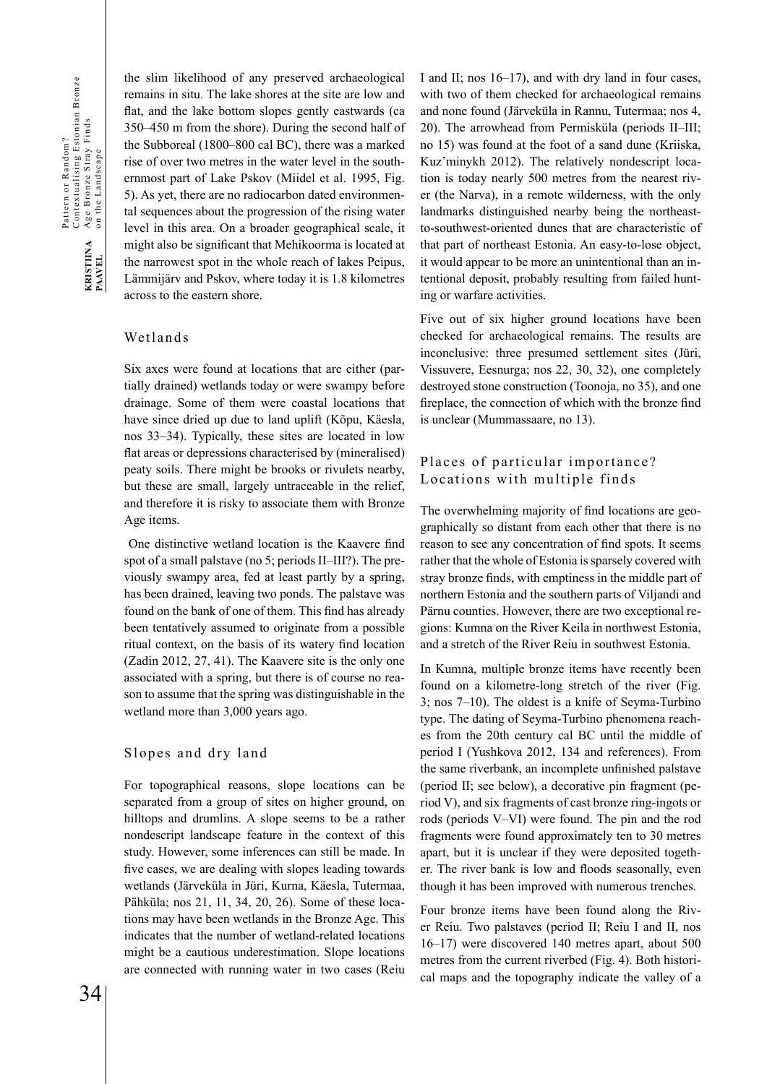Pattern or Random?<br>Contextualising Estonian Bronze<br>Age Bronze Stray Finds<br>on the Landscape Contextualising Estonian Bronze Age Bronze Stray Finds Pattern or Random? on the Landscape KRISTIINA<br>PAAVEL 34**KRISTIINA PAAVEL**

the slim likelihood of any preserved archaeological remains in situ. The lake shores at the site are low and flat, and the lake bottom slopes gently eastwards (ca 350–450 m from the shore). During the second half of the Subboreal (1800–800 cal BC), there was a marked rise of over two metres in the water level in the southernmost part of Lake Pskov (Miidel et al. 1995, Fig. 5). As yet, there are no radiocarbon dated environmental sequences about the progression of the rising water level in this area. On a broader geographical scale, it might also be significant that Mehikoorma is located at the narrowest spot in the whole reach of lakes Peipus, Lämmijärv and Pskov, where today it is 1.8 kilometres across to the eastern shore.

## Wetlands

Six axes were found at locations that are either (partially drained) wetlands today or were swampy before drainage. Some of them were coastal locations that have since dried up due to land uplift (Kõpu, Käesla, nos 33–34). Typically, these sites are located in low flat areas or depressions characterised by (mineralised) peaty soils. There might be brooks or rivulets nearby, but these are small, largely untraceable in the relief, and therefore it is risky to associate them with Bronze Age items.

 One distinctive wetland location is the Kaavere find spot of a small palstave (no 5; periods II–III?). The previously swampy area, fed at least partly by a spring, has been drained, leaving two ponds. The palstave was found on the bank of one of them. This find has already been tentatively assumed to originate from a possible ritual context, on the basis of its watery find location (Zadin 2012, 27, 41). The Kaavere site is the only one associated with a spring, but there is of course no reason to assume that the spring was distinguishable in the wetland more than 3,000 years ago.

## Slopes and dry land

For topographical reasons, slope locations can be separated from a group of sites on higher ground, on hilltops and drumlins. A slope seems to be a rather nondescript landscape feature in the context of this study. However, some inferences can still be made. In five cases, we are dealing with slopes leading towards wetlands (Järveküla in Jüri, Kurna, Käesla, Tutermaa, Pähküla; nos 21, 11, 34, 20, 26). Some of these locations may have been wetlands in the Bronze Age. This indicates that the number of wetland-related locations might be a cautious underestimation. Slope locations are connected with running water in two cases (Reiu I and II; nos 16–17), and with dry land in four cases, with two of them checked for archaeological remains and none found (Järveküla in Rannu, Tutermaa; nos 4, 20). The arrowhead from Permisküla (periods II–III; no 15) was found at the foot of a sand dune (Kriiska, Kuz'minykh 2012). The relatively nondescript location is today nearly 500 metres from the nearest river (the Narva), in a remote wilderness, with the only landmarks distinguished nearby being the northeastto-southwest-oriented dunes that are characteristic of that part of northeast Estonia. An easy-to-lose object, it would appear to be more an unintentional than an intentional deposit, probably resulting from failed hunting or warfare activities.

Five out of six higher ground locations have been checked for archaeological remains. The results are inconclusive: three presumed settlement sites (Jüri, Vissuvere, Eesnurga; nos 22, 30, 32), one completely destroyed stone construction (Toonoja, no 35), and one fireplace, the connection of which with the bronze find is unclear (Mummassaare, no 13).

# Places of particular importance? Locations with multiple finds

The overwhelming majority of find locations are geographically so distant from each other that there is no reason to see any concentration of find spots. It seems rather that the whole of Estonia is sparsely covered with stray bronze finds, with emptiness in the middle part of northern Estonia and the southern parts of Viljandi and Pärnu counties. However, there are two exceptional regions: Kumna on the River Keila in northwest Estonia, and a stretch of the River Reiu in southwest Estonia.

In Kumna, multiple bronze items have recently been found on a kilometre-long stretch of the river (Fig. 3; nos 7–10). The oldest is a knife of Seyma-Turbino type. The dating of Seyma-Turbino phenomena reaches from the 20th century cal BC until the middle of period I (Yushkova 2012, 134 and references). From the same riverbank, an incomplete unfinished palstave (period II; see below), a decorative pin fragment (period V), and six fragments of cast bronze ring-ingots or rods (periods V–VI) were found. The pin and the rod fragments were found approximately ten to 30 metres apart, but it is unclear if they were deposited together. The river bank is low and floods seasonally, even though it has been improved with numerous trenches.

Four bronze items have been found along the River Reiu. Two palstaves (period II; Reiu I and II, nos 16–17) were discovered 140 metres apart, about 500 metres from the current riverbed (Fig. 4). Both historical maps and the topography indicate the valley of a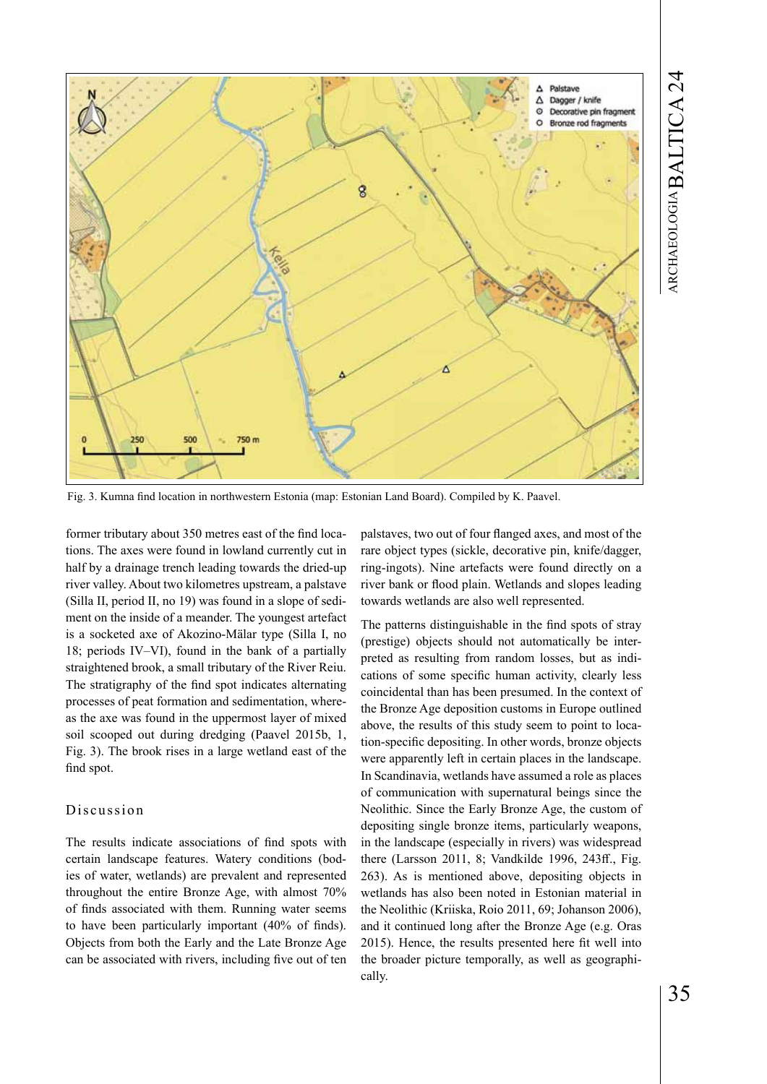

Fig. 3. Kumna find location in northwestern Estonia (map: Estonian Land Board). Compiled by K. Paavel.

former tributary about 350 metres east of the find locations. The axes were found in lowland currently cut in half by a drainage trench leading towards the dried-up river valley. About two kilometres upstream, a palstave (Silla II, period II, no 19) was found in a slope of sediment on the inside of a meander. The youngest artefact is a socketed axe of Akozino-Mälar type (Silla I, no 18; periods IV–VI), found in the bank of a partially straightened brook, a small tributary of the River Reiu. The stratigraphy of the find spot indicates alternating processes of peat formation and sedimentation, whereas the axe was found in the uppermost layer of mixed soil scooped out during dredging (Paavel 2015b, 1, Fig. 3). The brook rises in a large wetland east of the find spot.

## Discussion

The results indicate associations of find spots with certain landscape features. Watery conditions (bodies of water, wetlands) are prevalent and represented throughout the entire Bronze Age, with almost 70% of finds associated with them. Running water seems to have been particularly important (40% of finds). Objects from both the Early and the Late Bronze Age can be associated with rivers, including five out of ten palstaves, two out of four flanged axes, and most of the rare object types (sickle, decorative pin, knife/dagger, ring-ingots). Nine artefacts were found directly on a river bank or flood plain. Wetlands and slopes leading towards wetlands are also well represented.

The patterns distinguishable in the find spots of stray (prestige) objects should not automatically be interpreted as resulting from random losses, but as indications of some specific human activity, clearly less coincidental than has been presumed. In the context of the Bronze Age deposition customs in Europe outlined above, the results of this study seem to point to location-specific depositing. In other words, bronze objects were apparently left in certain places in the landscape. In Scandinavia, wetlands have assumed a role as places of communication with supernatural beings since the Neolithic. Since the Early Bronze Age, the custom of depositing single bronze items, particularly weapons, in the landscape (especially in rivers) was widespread there (Larsson 2011, 8; Vandkilde 1996, 243ff., Fig. 263). As is mentioned above, depositing objects in wetlands has also been noted in Estonian material in the Neolithic (Kriiska, Roio 2011, 69; Johanson 2006), and it continued long after the Bronze Age (e.g. Oras 2015). Hence, the results presented here fit well into the broader picture temporally, as well as geographically.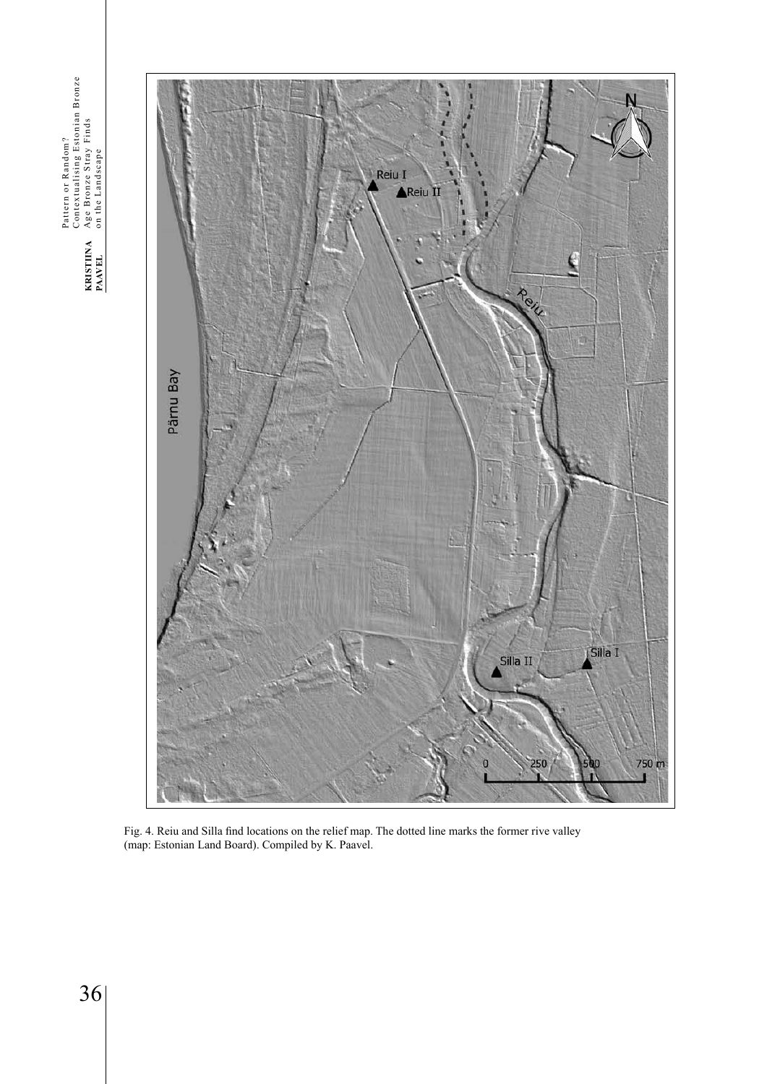Pattern or Random?<br>Contextualising Estonian Bronze<br>Age Bronze Stray Finds<br>on the Landscape Contextualising Estonian Bronze Age Bronze Stray Finds Pattern or Random? on the Landscape KRISTIINA<br>PAAVEL 36**KRISTIINA PAAVEL**



Fig. 4. Reiu and Silla find locations on the relief map. The dotted line marks the former rive valley (map: Estonian Land Board). Compiled by K. Paavel.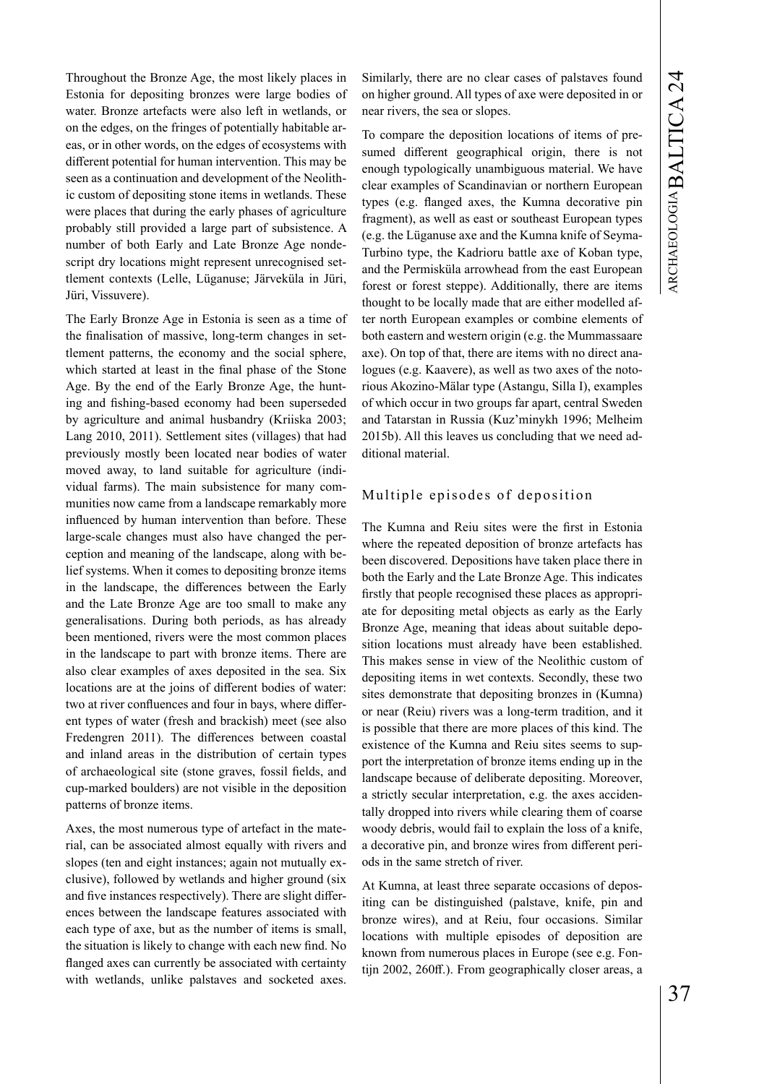Throughout the Bronze Age, the most likely places in Estonia for depositing bronzes were large bodies of water. Bronze artefacts were also left in wetlands, or on the edges, on the fringes of potentially habitable areas, or in other words, on the edges of ecosystems with different potential for human intervention. This may be seen as a continuation and development of the Neolithic custom of depositing stone items in wetlands. These were places that during the early phases of agriculture probably still provided a large part of subsistence. A number of both Early and Late Bronze Age nondescript dry locations might represent unrecognised settlement contexts (Lelle, Lüganuse; Järveküla in Jüri, Jüri, Vissuvere).

The Early Bronze Age in Estonia is seen as a time of the finalisation of massive, long-term changes in settlement patterns, the economy and the social sphere, which started at least in the final phase of the Stone Age. By the end of the Early Bronze Age, the hunting and fishing-based economy had been superseded by agriculture and animal husbandry (Kriiska 2003; Lang 2010, 2011). Settlement sites (villages) that had previously mostly been located near bodies of water moved away, to land suitable for agriculture (individual farms). The main subsistence for many communities now came from a landscape remarkably more influenced by human intervention than before. These large-scale changes must also have changed the perception and meaning of the landscape, along with belief systems. When it comes to depositing bronze items in the landscape, the differences between the Early and the Late Bronze Age are too small to make any generalisations. During both periods, as has already been mentioned, rivers were the most common places in the landscape to part with bronze items. There are also clear examples of axes deposited in the sea. Six locations are at the joins of different bodies of water: two at river confluences and four in bays, where different types of water (fresh and brackish) meet (see also Fredengren 2011). The differences between coastal and inland areas in the distribution of certain types of archaeological site (stone graves, fossil fields, and cup-marked boulders) are not visible in the deposition patterns of bronze items.

Axes, the most numerous type of artefact in the material, can be associated almost equally with rivers and slopes (ten and eight instances; again not mutually exclusive), followed by wetlands and higher ground (six and five instances respectively). There are slight differences between the landscape features associated with each type of axe, but as the number of items is small, the situation is likely to change with each new find. No flanged axes can currently be associated with certainty with wetlands, unlike palstaves and socketed axes.

Similarly, there are no clear cases of palstaves found on higher ground. All types of axe were deposited in or near rivers, the sea or slopes.

To compare the deposition locations of items of presumed different geographical origin, there is not enough typologically unambiguous material. We have clear examples of Scandinavian or northern European types (e.g. flanged axes, the Kumna decorative pin fragment), as well as east or southeast European types (e.g. the Lüganuse axe and the Kumna knife of Seyma-Turbino type, the Kadrioru battle axe of Koban type, and the Permisküla arrowhead from the east European forest or forest steppe). Additionally, there are items thought to be locally made that are either modelled after north European examples or combine elements of both eastern and western origin (e.g. the Mummassaare axe). On top of that, there are items with no direct analogues (e.g. Kaavere), as well as two axes of the notorious Akozino-Mälar type (Astangu, Silla I), examples of which occur in two groups far apart, central Sweden and Tatarstan in Russia (Kuz'minykh 1996; Melheim 2015b). All this leaves us concluding that we need additional material.

## Multiple episodes of deposition

The Kumna and Reiu sites were the first in Estonia where the repeated deposition of bronze artefacts has been discovered. Depositions have taken place there in both the Early and the Late Bronze Age. This indicates firstly that people recognised these places as appropriate for depositing metal objects as early as the Early Bronze Age, meaning that ideas about suitable deposition locations must already have been established. This makes sense in view of the Neolithic custom of depositing items in wet contexts. Secondly, these two sites demonstrate that depositing bronzes in (Kumna) or near (Reiu) rivers was a long-term tradition, and it is possible that there are more places of this kind. The existence of the Kumna and Reiu sites seems to support the interpretation of bronze items ending up in the landscape because of deliberate depositing. Moreover, a strictly secular interpretation, e.g. the axes accidentally dropped into rivers while clearing them of coarse woody debris, would fail to explain the loss of a knife, a decorative pin, and bronze wires from different periods in the same stretch of river.

At Kumna, at least three separate occasions of depositing can be distinguished (palstave, knife, pin and bronze wires), and at Reiu, four occasions. Similar locations with multiple episodes of deposition are known from numerous places in Europe (see e.g. Fontijn 2002, 260ff.). From geographically closer areas, a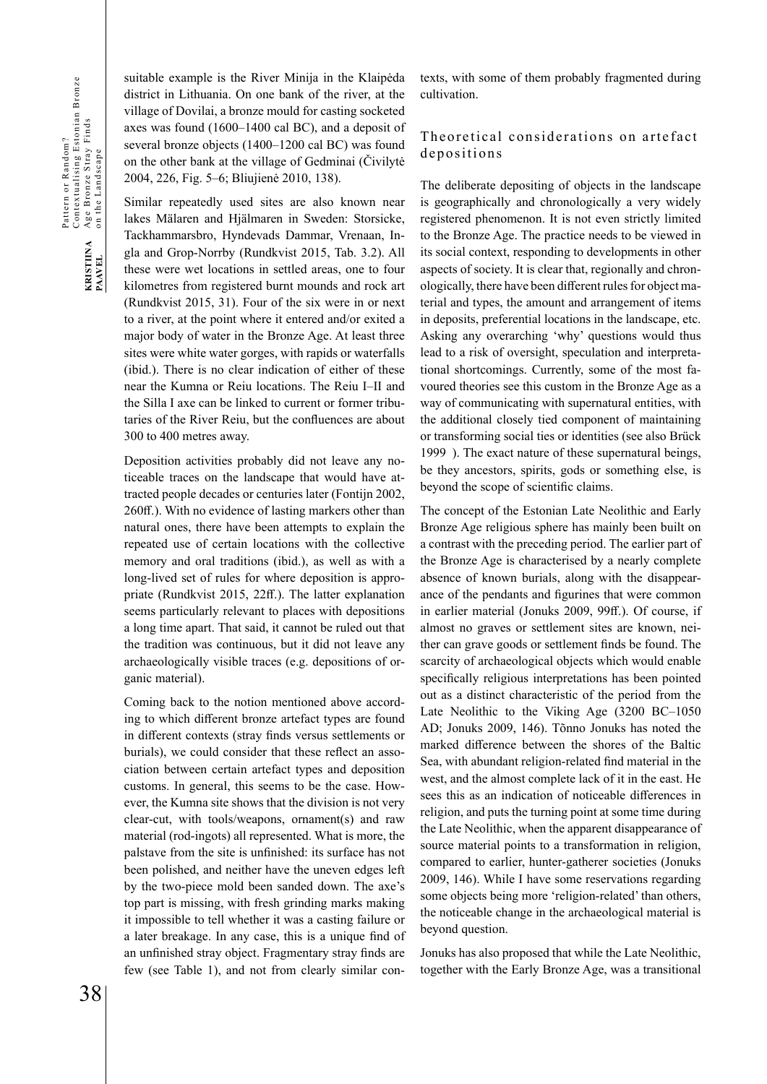suitable example is the River Minija in the Klaipėda district in Lithuania. On one bank of the river, at the village of Dovilai, a bronze mould for casting socketed axes was found (1600–1400 cal BC), and a deposit of several bronze objects (1400–1200 cal BC) was found on the other bank at the village of Gedminai (Čivilytė 2004, 226, Fig. 5–6; Bliujienė 2010, 138).

Similar repeatedly used sites are also known near lakes Mälaren and Hjälmaren in Sweden: Storsicke, Tackhammarsbro, Hyndevads Dammar, Vrenaan, Ingla and Grop-Norrby (Rundkvist 2015, Tab. 3.2). All these were wet locations in settled areas, one to four kilometres from registered burnt mounds and rock art (Rundkvist 2015, 31). Four of the six were in or next to a river, at the point where it entered and/or exited a major body of water in the Bronze Age. At least three sites were white water gorges, with rapids or waterfalls (ibid.). There is no clear indication of either of these near the Kumna or Reiu locations. The Reiu I–II and the Silla I axe can be linked to current or former tributaries of the River Reiu, but the confluences are about 300 to 400 metres away.

Deposition activities probably did not leave any noticeable traces on the landscape that would have attracted people decades or centuries later (Fontijn 2002, 260ff.). With no evidence of lasting markers other than natural ones, there have been attempts to explain the repeated use of certain locations with the collective memory and oral traditions (ibid.), as well as with a long-lived set of rules for where deposition is appropriate (Rundkvist 2015, 22ff.). The latter explanation seems particularly relevant to places with depositions a long time apart. That said, it cannot be ruled out that the tradition was continuous, but it did not leave any archaeologically visible traces (e.g. depositions of organic material).

Coming back to the notion mentioned above according to which different bronze artefact types are found in different contexts (stray finds versus settlements or burials), we could consider that these reflect an association between certain artefact types and deposition customs. In general, this seems to be the case. However, the Kumna site shows that the division is not very clear-cut, with tools/weapons, ornament(s) and raw material (rod-ingots) all represented. What is more, the palstave from the site is unfinished: its surface has not been polished, and neither have the uneven edges left by the two-piece mold been sanded down. The axe's top part is missing, with fresh grinding marks making it impossible to tell whether it was a casting failure or a later breakage. In any case, this is a unique find of an unfinished stray object. Fragmentary stray finds are few (see Table 1), and not from clearly similar contexts, with some of them probably fragmented during cultivation.

# Theoretical considerations on artefact depositions

The deliberate depositing of objects in the landscape is geographically and chronologically a very widely registered phenomenon. It is not even strictly limited to the Bronze Age. The practice needs to be viewed in its social context, responding to developments in other aspects of society. It is clear that, regionally and chronologically, there have been different rules for object material and types, the amount and arrangement of items in deposits, preferential locations in the landscape, etc. Asking any overarching 'why' questions would thus lead to a risk of oversight, speculation and interpretational shortcomings. Currently, some of the most favoured theories see this custom in the Bronze Age as a way of communicating with supernatural entities, with the additional closely tied component of maintaining or transforming social ties or identities (see also Brück 1999 ). The exact nature of these supernatural beings, be they ancestors, spirits, gods or something else, is beyond the scope of scientific claims.

The concept of the Estonian Late Neolithic and Early Bronze Age religious sphere has mainly been built on a contrast with the preceding period. The earlier part of the Bronze Age is characterised by a nearly complete absence of known burials, along with the disappearance of the pendants and figurines that were common in earlier material (Jonuks 2009, 99ff.). Of course, if almost no graves or settlement sites are known, neither can grave goods or settlement finds be found. The scarcity of archaeological objects which would enable specifically religious interpretations has been pointed out as a distinct characteristic of the period from the Late Neolithic to the Viking Age (3200 BC–1050 AD; Jonuks 2009, 146). Tõnno Jonuks has noted the marked difference between the shores of the Baltic Sea, with abundant religion-related find material in the west, and the almost complete lack of it in the east. He sees this as an indication of noticeable differences in religion, and puts the turning point at some time during the Late Neolithic, when the apparent disappearance of source material points to a transformation in religion, compared to earlier, hunter-gatherer societies (Jonuks 2009, 146). While I have some reservations regarding some objects being more 'religion-related' than others, the noticeable change in the archaeological material is beyond question.

Jonuks has also proposed that while the Late Neolithic, together with the Early Bronze Age, was a transitional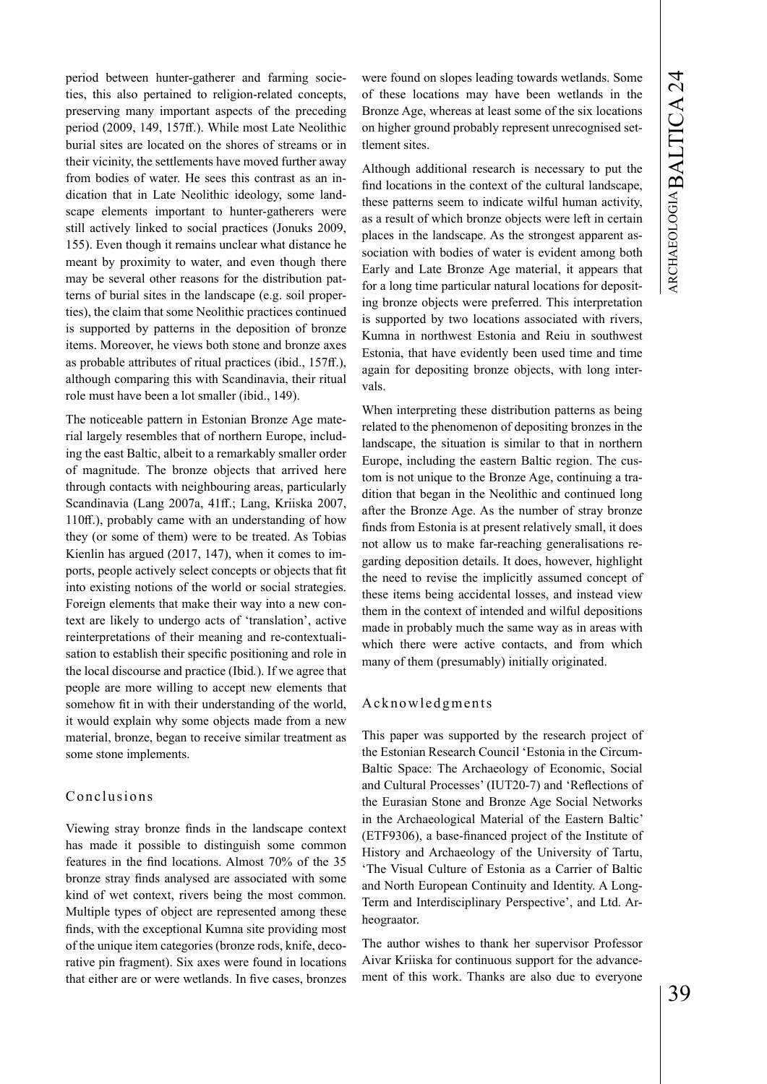period between hunter-gatherer and farming societies, this also pertained to religion-related concepts, preserving many important aspects of the preceding period (2009, 149, 157ff.). While most Late Neolithic burial sites are located on the shores of streams or in their vicinity, the settlements have moved further away from bodies of water. He sees this contrast as an indication that in Late Neolithic ideology, some landscape elements important to hunter-gatherers were still actively linked to social practices (Jonuks 2009, 155). Even though it remains unclear what distance he meant by proximity to water, and even though there may be several other reasons for the distribution patterns of burial sites in the landscape (e.g. soil properties), the claim that some Neolithic practices continued is supported by patterns in the deposition of bronze items. Moreover, he views both stone and bronze axes as probable attributes of ritual practices (ibid., 157ff.), although comparing this with Scandinavia, their ritual role must have been a lot smaller (ibid., 149).

The noticeable pattern in Estonian Bronze Age material largely resembles that of northern Europe, including the east Baltic, albeit to a remarkably smaller order of magnitude. The bronze objects that arrived here through contacts with neighbouring areas, particularly Scandinavia (Lang 2007a, 41ff.; Lang, Kriiska 2007, 110ff.), probably came with an understanding of how they (or some of them) were to be treated. As Tobias Kienlin has argued (2017, 147), when it comes to imports, people actively select concepts or objects that fit into existing notions of the world or social strategies. Foreign elements that make their way into a new context are likely to undergo acts of 'translation', active reinterpretations of their meaning and re-contextualisation to establish their specific positioning and role in the local discourse and practice (Ibid*.*). If we agree that people are more willing to accept new elements that somehow fit in with their understanding of the world, it would explain why some objects made from a new material, bronze, began to receive similar treatment as some stone implements.

# Conclusions

Viewing stray bronze finds in the landscape context has made it possible to distinguish some common features in the find locations. Almost 70% of the 35 bronze stray finds analysed are associated with some kind of wet context, rivers being the most common. Multiple types of object are represented among these finds, with the exceptional Kumna site providing most of the unique item categories (bronze rods, knife, decorative pin fragment). Six axes were found in locations that either are or were wetlands. In five cases, bronzes

were found on slopes leading towards wetlands. Some of these locations may have been wetlands in the Bronze Age, whereas at least some of the six locations on higher ground probably represent unrecognised settlement sites.

Although additional research is necessary to put the find locations in the context of the cultural landscape, these patterns seem to indicate wilful human activity, as a result of which bronze objects were left in certain places in the landscape. As the strongest apparent association with bodies of water is evident among both Early and Late Bronze Age material, it appears that for a long time particular natural locations for depositing bronze objects were preferred. This interpretation is supported by two locations associated with rivers, Kumna in northwest Estonia and Reiu in southwest Estonia, that have evidently been used time and time again for depositing bronze objects, with long intervals.

When interpreting these distribution patterns as being related to the phenomenon of depositing bronzes in the landscape, the situation is similar to that in northern Europe, including the eastern Baltic region. The custom is not unique to the Bronze Age, continuing a tradition that began in the Neolithic and continued long after the Bronze Age. As the number of stray bronze finds from Estonia is at present relatively small, it does not allow us to make far-reaching generalisations regarding deposition details. It does, however, highlight the need to revise the implicitly assumed concept of these items being accidental losses, and instead view them in the context of intended and wilful depositions made in probably much the same way as in areas with which there were active contacts, and from which many of them (presumably) initially originated.

#### Acknowledgments

This paper was supported by the research project of the Estonian Research Council 'Estonia in the Circum-Baltic Space: The Archaeology of Economic, Social and Cultural Processes' (IUT20-7) and 'Reflections of the Eurasian Stone and Bronze Age Social Networks in the Archaeological Material of the Eastern Baltic' (ETF9306), a base-financed project of the Institute of History and Archaeology of the University of Tartu, 'The Visual Culture of Estonia as a Carrier of Baltic and North European Continuity and Identity. A Long-Term and Interdisciplinary Perspective', and Ltd. Arheograator.

The author wishes to thank her supervisor Professor Aivar Kriiska for continuous support for the advancement of this work. Thanks are also due to everyone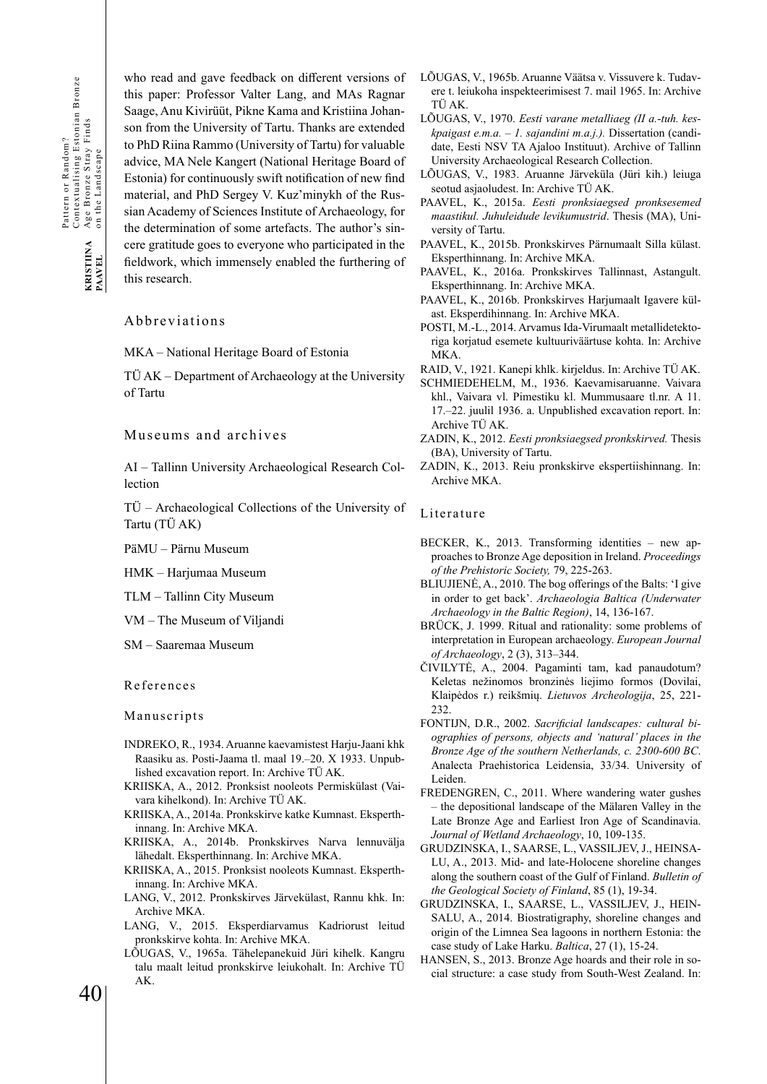who read and gave feedback on different versions of this paper: Professor Valter Lang, and MAs Ragnar Saage, Anu Kivirüüt, Pikne Kama and Kristiina Johanson from the University of Tartu. Thanks are extended to PhD Riina Rammo (University of Tartu) for valuable advice, MA Nele Kangert (National Heritage Board of Estonia) for continuously swift notification of new find material, and PhD Sergey V. Kuz'minykh of the Russian Academy of Sciences Institute of Archaeology, for the determination of some artefacts. The author's sincere gratitude goes to everyone who participated in the fieldwork, which immensely enabled the furthering of this research.

#### Abbreviations

MKA – National Heritage Board of Estonia

TÜ AK – Department of Archaeology at the University of Tartu

#### Museums and archives

AI – Tallinn University Archaeological Research Collection

TÜ – Archaeological Collections of the University of Tartu (TÜ AK)

PäMU – Pärnu Museum

HMK – Harjumaa Museum

TLM – Tallinn City Museum

VM – The Museum of Viljandi

SM – Saaremaa Museum

References

Manuscripts

- INDREKO, R., 1934. Aruanne kaevamistest Harju-Jaani khk Raasiku as. Posti-Jaama tl. maal 19.–20. X 1933. Unpublished excavation report. In: Archive TÜ AK.
- KRIISKA, A., 2012. Pronksist nooleots Permiskülast (Vaivara kihelkond). In: Archive TÜ AK.
- KRIISKA, A., 2014a. Pronkskirve katke Kumnast. Eksperthinnang. In: Archive MKA.
- KRIISKA, A., 2014b. Pronkskirves Narva lennuvälja lähedalt. Eksperthinnang. In: Archive MKA.
- KRIISKA, A., 2015. Pronksist nooleots Kumnast. Eksperthinnang. In: Archive MKA.
- LANG, V., 2012. Pronkskirves Järvekülast, Rannu khk. In: Archive MKA.
- LANG, V., 2015. Eksperdiarvamus Kadriorust leitud pronkskirve kohta. In: Archive MKA.
- LÕUGAS, V., 1965a. Tähelepanekuid Jüri kihelk. Kangru talu maalt leitud pronkskirve leiukohalt. In: Archive TÜ AK.
- LÕUGAS, V., 1965b. Aruanne Väätsa v. Vissuvere k. Tudavere t. leiukoha inspekteerimisest 7. mail 1965. In: Archive TÜ AK.
- LÕUGAS, V., 1970. *Eesti varane metalliaeg (II a.-tuh. keskpaigast e.m.a. – 1. sajandini m.a.j.).* Dissertation (candidate, Eesti NSV TA Ajaloo Instituut). Archive of Tallinn University Archaeological Research Collection.
- LÕUGAS, V., 1983. Aruanne Järveküla (Jüri kih.) leiuga seotud asjaoludest. In: Archive TÜ AK.
- PAAVEL, K., 2015a. *Eesti pronksiaegsed pronksesemed maastikul. Juhuleidude levikumustrid*. Thesis (MA), University of Tartu.
- PAAVEL, K., 2015b. Pronkskirves Pärnumaalt Silla külast. Eksperthinnang. In: Archive MKA.
- PAAVEL, K., 2016a. Pronkskirves Tallinnast, Astangult. Eksperthinnang. In: Archive MKA.
- PAAVEL, K., 2016b. Pronkskirves Harjumaalt Igavere külast. Eksperdihinnang. In: Archive MKA.
- POSTI, M.-L., 2014. Arvamus Ida-Virumaalt metallidetektoriga korjatud esemete kultuuriväärtuse kohta. In: Archive MKA.
- RAID, V., 1921. Kanepi khlk. kirjeldus. In: Archive TÜ AK.
- SCHMIEDEHELM, M., 1936. Kaevamisaruanne. Vaivara khl., Vaivara vl. Pimestiku kl. Mummusaare tl.nr. A 11. 17.–22. juulil 1936. a. Unpublished excavation report. In: Archive TÜ AK.
- ZADIN, K., 2012. *Eesti pronksiaegsed pronkskirved.* Thesis (BA), University of Tartu.
- ZADIN, K., 2013. Reiu pronkskirve ekspertiishinnang. In: Archive MKA.

#### Literature

- BECKER, K., 2013. Transforming identities new approaches to Bronze Age deposition in Ireland. *Proceedings of the Prehistoric Society,* 79, 225-263.
- BLIUJIENĖ, A., 2010. The bog offerings of the Balts: 'I give in order to get back'. *Archaeologia Baltica (Underwater Archaeology in the Baltic Region)*, 14, 136-167.
- BRÜCK, J. 1999. Ritual and rationality: some problems of interpretation in European archaeology. *European Journal of Archaeology*, 2 (3), 313–344.
- ČIVILYTĖ, A., 2004. Pagaminti tam, kad panaudotum? Keletas nežinomos bronzinės liejimo formos (Dovilai, Klaipėdos r.) reikšmių. *Lietuvos Archeologija*, 25, 221- 232.
- FONTIJN, D.R., 2002. *Sacrificial landscapes: cultural biographies of persons, objects and 'natural' places in the Bronze Age of the southern Netherlands, c. 2300-600 BC*. Analecta Praehistorica Leidensia, 33/34. University of Leiden.
- FREDENGREN, C., 2011. Where wandering water gushes – the depositional landscape of the Mälaren Valley in the Late Bronze Age and Earliest Iron Age of Scandinavia. *Journal of Wetland Archaeology*, 10, 109-135.
- GRUDZINSKA, I., SAARSE, L., VASSILJEV, J., HEINSA-LU, A., 2013. Mid- and late-Holocene shoreline changes along the southern coast of the Gulf of Finland. *Bulletin of the Geological Society of Finland*, 85 (1), 19-34.
- GRUDZINSKA, I., SAARSE, L., VASSILJEV, J., HEIN-SALU, A., 2014. Biostratigraphy, shoreline changes and origin of the Limnea Sea lagoons in northern Estonia: the case study of Lake Harku. *Baltica*, 27 (1), 15-24.
- HANSEN, S., 2013. Bronze Age hoards and their role in social structure: a case study from South-West Zealand. In:

40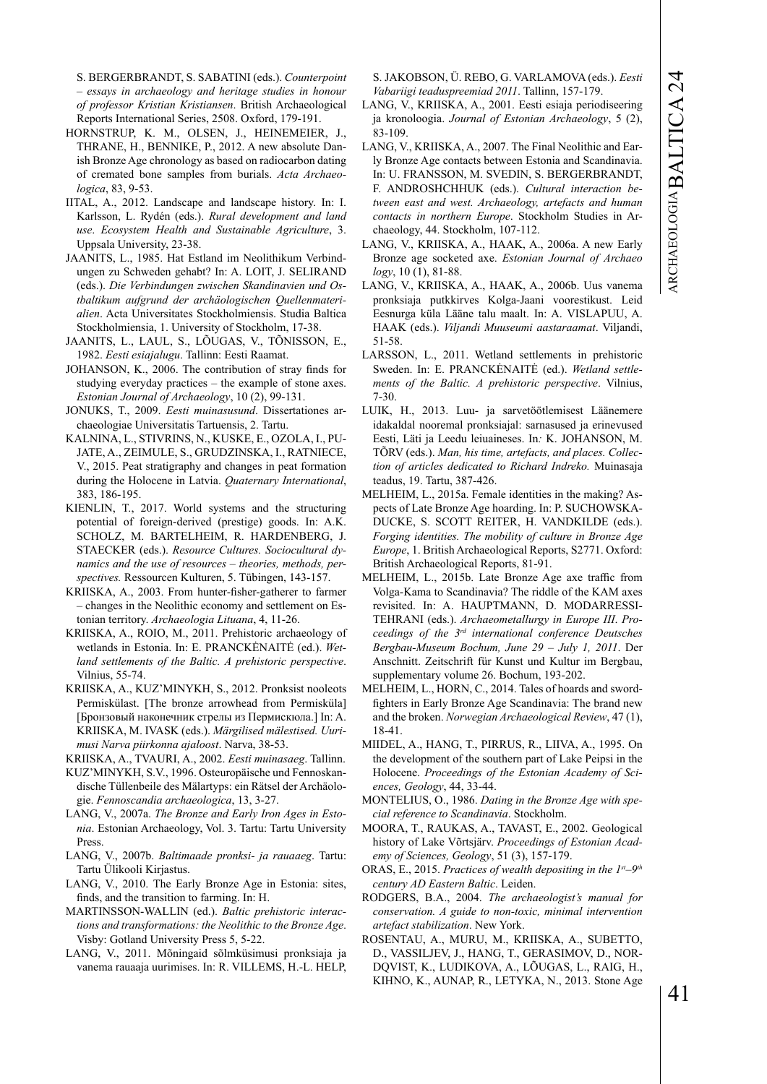S. BERGERBRANDT, S. SABATINI (eds.). *Counterpoint – essays in archaeology and heritage studies in honour of professor Kristian Kristiansen*. British Archaeological Reports International Series, 2508. Oxford, 179-191.

- HORNSTRUP, K. M., OLSEN, J., HEINEMEIER, J., THRANE, H., BENNIKE, P., 2012. A new absolute Danish Bronze Age chronology as based on radiocarbon dating of cremated bone samples from burials. *Acta Archaeologica*, 83, 9-53.
- IITAL, A., 2012. Landscape and landscape history. In: I. Karlsson, L. Rydén (eds.). *Rural development and land use*. *Ecosystem Health and Sustainable Agriculture*, 3. Uppsala University, 23-38.
- JAANITS, L., 1985. Hat Estland im Neolithikum Verbindungen zu Schweden gehabt? In: A. LOIT, J. SELIRAND (eds.). *Die Verbindungen zwischen Skandinavien und Ostbaltikum aufgrund der archäologischen Quellenmaterialien*. Acta Universitates Stockholmiensis. Studia Baltica Stockholmiensia, 1. University of Stockholm, 17-38.
- JAANITS, L., LAUL, S., LÕUGAS, V., TÕNISSON, E., 1982. *Eesti esiajalugu*. Tallinn: Eesti Raamat.
- JOHANSON, K., 2006. The contribution of stray finds for studying everyday practices – the example of stone axes. *Estonian Journal of Archaeology*, 10 (2), 99-131.
- JONUKS, T., 2009. *Eesti muinasusund*. Dissertationes archaeologiae Universitatis Tartuensis, 2. Tartu.
- KALNINA, L., STIVRINS, N., KUSKE, E., OZOLA, I., PU-JATE, A., ZEIMULE, S., GRUDZINSKA, I., RATNIECE, V., 2015. Peat stratigraphy and changes in peat formation during the Holocene in Latvia. *Quaternary International*, 383, 186-195.
- KIENLIN, T., 2017. World systems and the structuring potential of foreign-derived (prestige) goods. In: A.K. SCHOLZ, M. BARTELHEIM, R. HARDENBERG, J. STAECKER (eds.). *Resource Cultures. Sociocultural dynamics and the use of resources – theories, methods, perspectives.* Ressourcen Kulturen, 5. Tübingen, 143-157.
- KRIISKA, A., 2003. From hunter-fisher-gatherer to farmer – changes in the Neolithic economy and settlement on Estonian territory. *Archaeologia Lituana*, 4, 11-26.
- KRIISKA, A., ROIO, M., 2011. Prehistoric archaeology of wetlands in Estonia. In: E. PRANCKĖNAITĖ (ed.). *Wetland settlements of the Baltic. A prehistoric perspective*. Vilnius, 55-74.
- KRIISKA, A., KUZ'MINYKH, S., 2012. Pronksist nooleots Permiskülast. [The bronze arrowhead from Permisküla] [Бронзовый наконечник стрелы из Пермискюла.] In: A. KRIISKA, M. IVASK (eds.). *Märgilised mälestised. Uurimusi Narva piirkonna ajaloost*. Narva, 38-53.
- KRIISKA, A., TVAURI, A., 2002. *Eesti muinasaeg*. Tallinn.
- KUZ'MINYKH, S.V., 1996. Osteuropäische und Fennoskandische Tüllenbeile des Mälartyps: ein Rätsel der Archäologie. *Fennoscandia archaeologica*, 13, 3-27.
- LANG, V., 2007a. *The Bronze and Early Iron Ages in Estonia*. Estonian Archaeology, Vol. 3. Tartu: Tartu University Press.
- LANG, V., 2007b. *Baltimaade pronksi- ja rauaaeg*. Tartu: Tartu Ülikooli Kirjastus.
- LANG, V., 2010. The Early Bronze Age in Estonia: sites, finds, and the transition to farming. In: H.
- MARTINSSON-WALLIN (ed.). *Baltic prehistoric interactions and transformations: the Neolithic to the Bronze Age*. Visby: Gotland University Press 5, 5-22.
- LANG, V., 2011. Mõningaid sõlmküsimusi pronksiaja ja vanema rauaaja uurimises. In: R. VILLEMS, H.-L. HELP,

S. JAKOBSON, Ü. REBO, G. VARLAMOVA (eds.). *Eesti Vabariigi teaduspreemiad 2011*. Tallinn, 157-179.

- LANG, V., KRIISKA, A., 2001. Eesti esiaja periodiseering ja kronoloogia. *Journal of Estonian Archaeology*, 5 (2), 83-109.
- LANG, V., KRIISKA, A., 2007. The Final Neolithic and Early Bronze Age contacts between Estonia and Scandinavia. In: U. FRANSSON, M. SVEDIN, S. BERGERBRANDT, F. ANDROSHCHHUK (eds.). *Cultural interaction between east and west. Archaeology, artefacts and human contacts in northern Europe*. Stockholm Studies in Archaeology, 44. Stockholm, 107-112.
- LANG, V., KRIISKA, A., HAAK, A., 2006a. A new Early Bronze age socketed axe. *Estonian Journal of Archaeo logy*, 10 (1), 81-88.
- LANG, V., KRIISKA, A., HAAK, A., 2006b. Uus vanema pronksiaja putkkirves Kolga-Jaani voorestikust. Leid Eesnurga küla Lääne talu maalt. In: A. VISLAPUU, A. HAAK (eds.). *Viljandi Muuseumi aastaraamat*. Viljandi, 51-58.
- LARSSON, L., 2011. Wetland settlements in prehistoric Sweden. In: E. PRANCKĖNAITĖ (ed.). *Wetland settlements of the Baltic. A prehistoric perspective*. Vilnius, 7-30.
- LUIK, H., 2013. Luu- ja sarvetöötlemisest Läänemere idakaldal nooremal pronksiajal: sarnasused ja erinevused Eesti, Läti ja Leedu leiuaineses. In*:* K. JOHANSON, M. TÕRV (eds.). *Man, his time, artefacts, and places. Collection of articles dedicated to Richard Indreko.* Muinasaja teadus, 19. Tartu, 387-426.
- MELHEIM, L., 2015a. Female identities in the making? Aspects of Late Bronze Age hoarding. In: P. SUCHOWSKA-DUCKE, S. SCOTT REITER, H. VANDKILDE (eds.). *Forging identities. The mobility of culture in Bronze Age Europe*, 1. British Archaeological Reports, S2771. Oxford: British Archaeological Reports, 81-91.
- MELHEIM, L., 2015b. Late Bronze Age axe traffic from Volga-Kama to Scandinavia? The riddle of the KAM axes revisited. In: A. HAUPTMANN, D. MODARRESSI-TEHRANI (eds.). *Archaeometallurgy in Europe III*. *Proceedings of the 3rd international conference Deutsches Bergbau-Museum Bochum, June 29 – July 1, 2011*. Der Anschnitt. Zeitschrift für Kunst und Kultur im Bergbau, supplementary volume 26. Bochum, 193-202.
- MELHEIM, L., HORN, C., 2014. Tales of hoards and swordfighters in Early Bronze Age Scandinavia: The brand new and the broken. *Norwegian Archaeological Review*, 47 (1), 18-41.
- MIIDEL, A., HANG, T., PIRRUS, R., LIIVA, A., 1995. On the development of the southern part of Lake Peipsi in the Holocene. *Proceedings of the Estonian Academy of Sciences, Geology*, 44, 33-44.
- MONTELIUS, O., 1986. *Dating in the Bronze Age with special reference to Scandinavia*. Stockholm.
- MOORA, T., RAUKAS, A., TAVAST, E., 2002. Geological history of Lake Võrtsjärv. *Proceedings of Estonian Academy of Sciences, Geology*, 51 (3), 157-179.
- ORAS, E., 2015. *Practices of wealth depositing in the 1st–9th century AD Eastern Baltic*. Leiden.
- RODGERS, B.A., 2004. *The archaeologist's manual for conservation. A guide to non-toxic, minimal intervention artefact stabilization*. New York.
- ROSENTAU, A., MURU, M., KRIISKA, A., SUBETTO, D., VASSILJEV, J., HANG, T., GERASIMOV, D., NOR-DQVIST, K., LUDIKOVA, A., LÕUGAS, L., RAIG, H., KIHNO, K., AUNAP, R., LETYKA, N., 2013. Stone Age